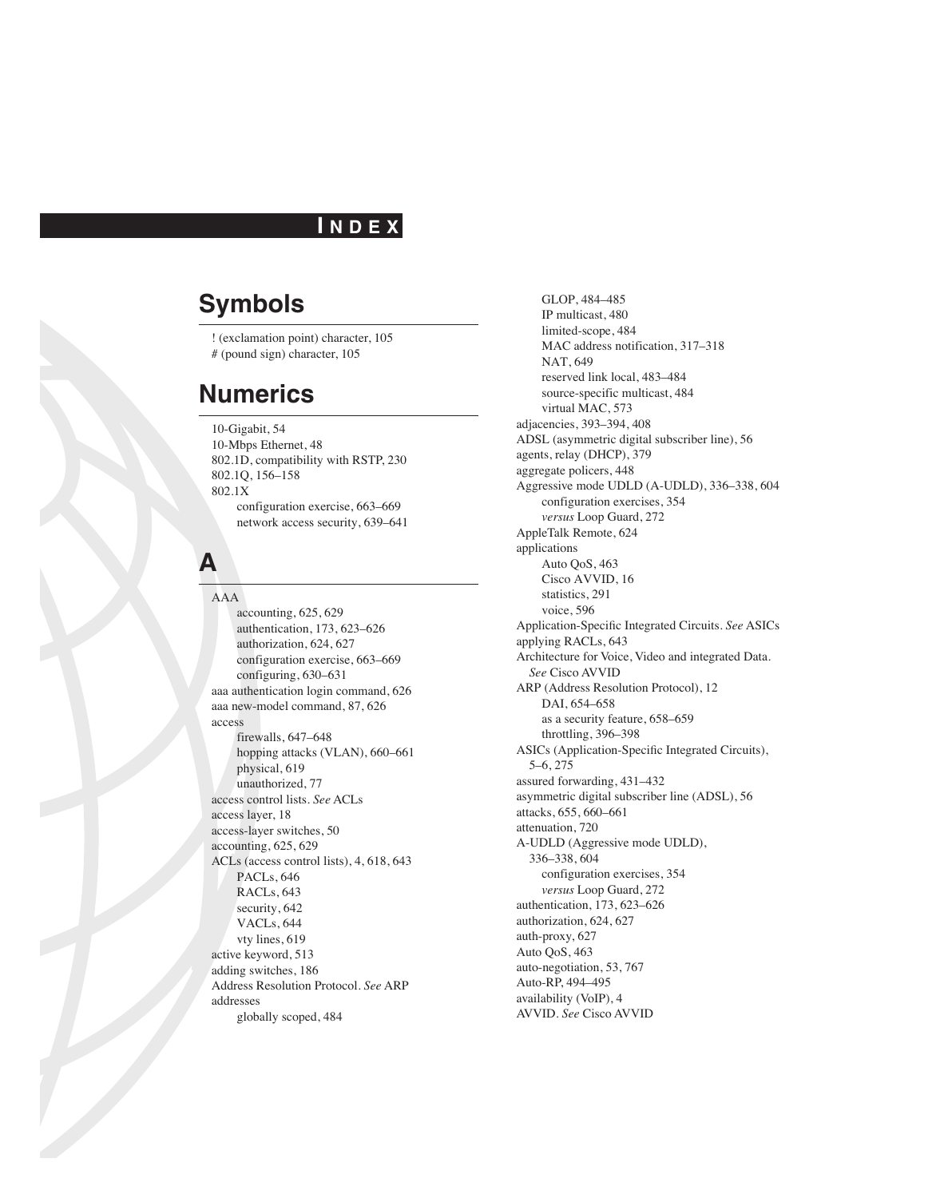#### **I N D E X**

# **Symbols**

! (exclamation point) character, 105 # (pound sign) character, 105

# **Numerics**

10-Gigabit, 54 10-Mbps Ethernet, 48 802.1D, compatibility with RSTP, 230 802.1Q, 156–158 802.1X configuration exercise, 663–669 network access security, 639–641

## **A**

AAA accounting, 625, 629 authentication, 173, 623–626 authorization, 624, 627 configuration exercise, 663–669 configuring, 630–631 aaa authentication login command, 626 aaa new-model command, 87, 626 access firewalls, 647–648 hopping attacks (VLAN), 660–661 physical, 619 unauthorized, 77 access control lists. *See* ACLs access layer, 18 access-layer switches, 50 accounting, 625, 629 ACLs (access control lists), 4, 618, 643 PACLs, 646 RACLs, 643 security, 642 VACLs, 644 vty lines, 619 active keyword, 513 adding switches, 186 Address Resolution Protocol. *See* ARP addresses globally scoped, 484

GLOP, 484–485 IP multicast, 480 limited-scope, 484 MAC address notification, 317–318 NAT, 649 reserved link local, 483–484 source-specific multicast, 484 virtual MAC, 573 adjacencies, 393–394, 408 ADSL (asymmetric digital subscriber line), 56 agents, relay (DHCP), 379 aggregate policers, 448 Aggressive mode UDLD (A-UDLD), 336–338, 604 configuration exercises, 354 *versus* Loop Guard, 272 AppleTalk Remote, 624 applications Auto QoS, 463 Cisco AVVID, 16 statistics, 291 voice, 596 Application-Specific Integrated Circuits. *See* ASICs applying RACLs, 643 Architecture for Voice, Video and integrated Data. *See* Cisco AVVID ARP (Address Resolution Protocol), 12 DAI, 654–658 as a security feature, 658–659 throttling, 396–398 ASICs (Application-Specific Integrated Circuits), 5–6, 275 assured forwarding, 431–432 asymmetric digital subscriber line (ADSL), 56 attacks, 655, 660–661 attenuation, 720 A-UDLD (Aggressive mode UDLD), 336–338, 604 configuration exercises, 354 *versus* Loop Guard, 272 authentication, 173, 623–626 authorization, 624, 627 auth-proxy, 627 Auto QoS, 463 auto-negotiation, 53, 767 Auto-RP, 494–495 availability (VoIP), 4 AVVID. *See* Cisco AVVID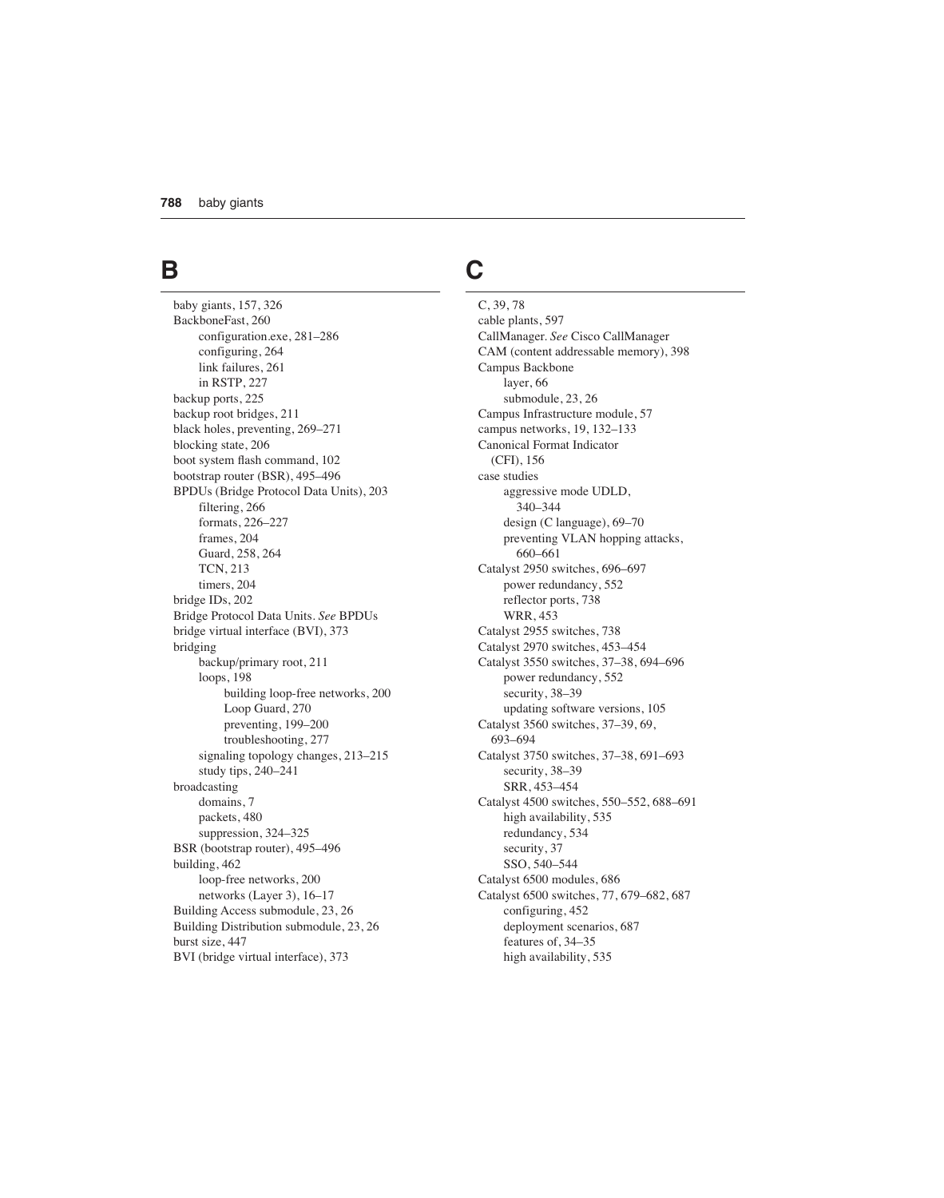## **B**

baby giants, 157, 326 BackboneFast, 260 configuration.exe, 281–286 configuring, 264 link failures, 261 in RSTP, 227 backup ports, 225 backup root bridges, 211 black holes, preventing, 269–271 blocking state, 206 boot system flash command, 102 bootstrap router (BSR), 495–496 BPDUs (Bridge Protocol Data Units), 203 filtering, 266 formats, 226–227 frames, 204 Guard, 258, 264 TCN, 213 timers, 204 bridge IDs, 202 Bridge Protocol Data Units. *See* BPDUs bridge virtual interface (BVI), 373 bridging backup/primary root, 211 loops, 198 building loop-free networks, 200 Loop Guard, 270 preventing, 199–200 troubleshooting, 277 signaling topology changes, 213–215 study tips, 240–241 broadcasting domains, 7 packets, 480 suppression, 324–325 BSR (bootstrap router), 495–496 building, 462 loop-free networks, 200 networks (Layer 3), 16–17 Building Access submodule, 23, 26 Building Distribution submodule, 23, 26 burst size, 447 BVI (bridge virtual interface), 373

# **C**

C, 39, 78 cable plants, 597 CallManager. *See* Cisco CallManager CAM (content addressable memory), 398 Campus Backbone layer, 66 submodule, 23, 26 Campus Infrastructure module, 57 campus networks, 19, 132–133 Canonical Format Indicator (CFI), 156 case studies aggressive mode UDLD, 340–344 design (C language), 69–70 preventing VLAN hopping attacks, 660–661 Catalyst 2950 switches, 696–697 power redundancy, 552 reflector ports, 738 WRR, 453 Catalyst 2955 switches, 738 Catalyst 2970 switches, 453–454 Catalyst 3550 switches, 37–38, 694–696 power redundancy, 552 security, 38–39 updating software versions, 105 Catalyst 3560 switches, 37–39, 69, 693–694 Catalyst 3750 switches, 37–38, 691–693 security, 38–39 SRR, 453–454 Catalyst 4500 switches, 550–552, 688–691 high availability, 535 redundancy, 534 security, 37 SSO, 540–544 Catalyst 6500 modules, 686 Catalyst 6500 switches, 77, 679–682, 687 configuring, 452 deployment scenarios, 687 features of, 34–35 high availability, 535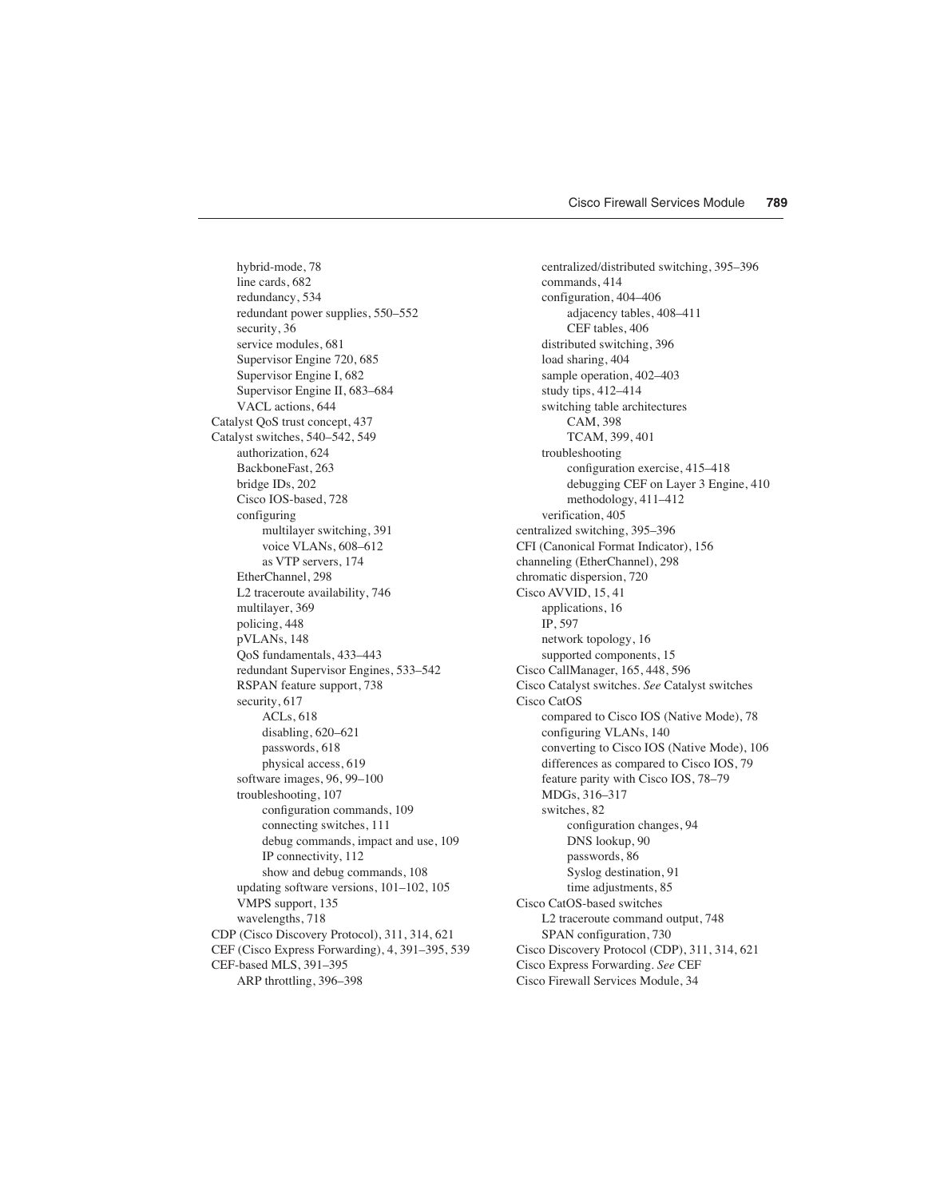hybrid-mode, 78 line cards, 682 redundancy, 534 redundant power supplies, 550–552 security, 36 service modules, 681 Supervisor Engine 720, 685 Supervisor Engine I, 682 Supervisor Engine II, 683–684 VACL actions, 644 Catalyst QoS trust concept, 437 Catalyst switches, 540–542, 549 authorization, 624 BackboneFast, 263 bridge IDs, 202 Cisco IOS-based, 728 configuring multilayer switching, 391 voice VLANs, 608–612 as VTP servers, 174 EtherChannel, 298 L2 traceroute availability, 746 multilayer, 369 policing, 448 pVLANs, 148 QoS fundamentals, 433–443 redundant Supervisor Engines, 533–542 RSPAN feature support, 738 security, 617 ACLs, 618 disabling, 620–621 passwords, 618 physical access, 619 software images, 96, 99–100 troubleshooting, 107 configuration commands, 109 connecting switches, 111 debug commands, impact and use, 109 IP connectivity, 112 show and debug commands, 108 updating software versions, 101–102, 105 VMPS support, 135 wavelengths, 718 CDP (Cisco Discovery Protocol), 311, 314, 621 CEF (Cisco Express Forwarding), 4, 391–395, 539 CEF-based MLS, 391–395 ARP throttling, 396–398

centralized/distributed switching, 395–396 commands, 414 configuration, 404–406 adjacency tables, 408–411 CEF tables, 406 distributed switching, 396 load sharing, 404 sample operation, 402–403 study tips, 412–414 switching table architectures CAM, 398 TCAM, 399, 401 troubleshooting configuration exercise, 415–418 debugging CEF on Layer 3 Engine, 410 methodology, 411–412 verification, 405 centralized switching, 395–396 CFI (Canonical Format Indicator), 156 channeling (EtherChannel), 298 chromatic dispersion, 720 Cisco AVVID, 15, 41 applications, 16 IP, 597 network topology, 16 supported components, 15 Cisco CallManager, 165, 448, 596 Cisco Catalyst switches. *See* Catalyst switches Cisco CatOS compared to Cisco IOS (Native Mode), 78 configuring VLANs, 140 converting to Cisco IOS (Native Mode), 106 differences as compared to Cisco IOS, 79 feature parity with Cisco IOS, 78–79 MDGs, 316–317 switches, 82 configuration changes, 94 DNS lookup, 90 passwords, 86 Syslog destination, 91 time adjustments, 85 Cisco CatOS-based switches L2 traceroute command output, 748 SPAN configuration, 730 Cisco Discovery Protocol (CDP), 311, 314, 621 Cisco Express Forwarding. *See* CEF Cisco Firewall Services Module, 34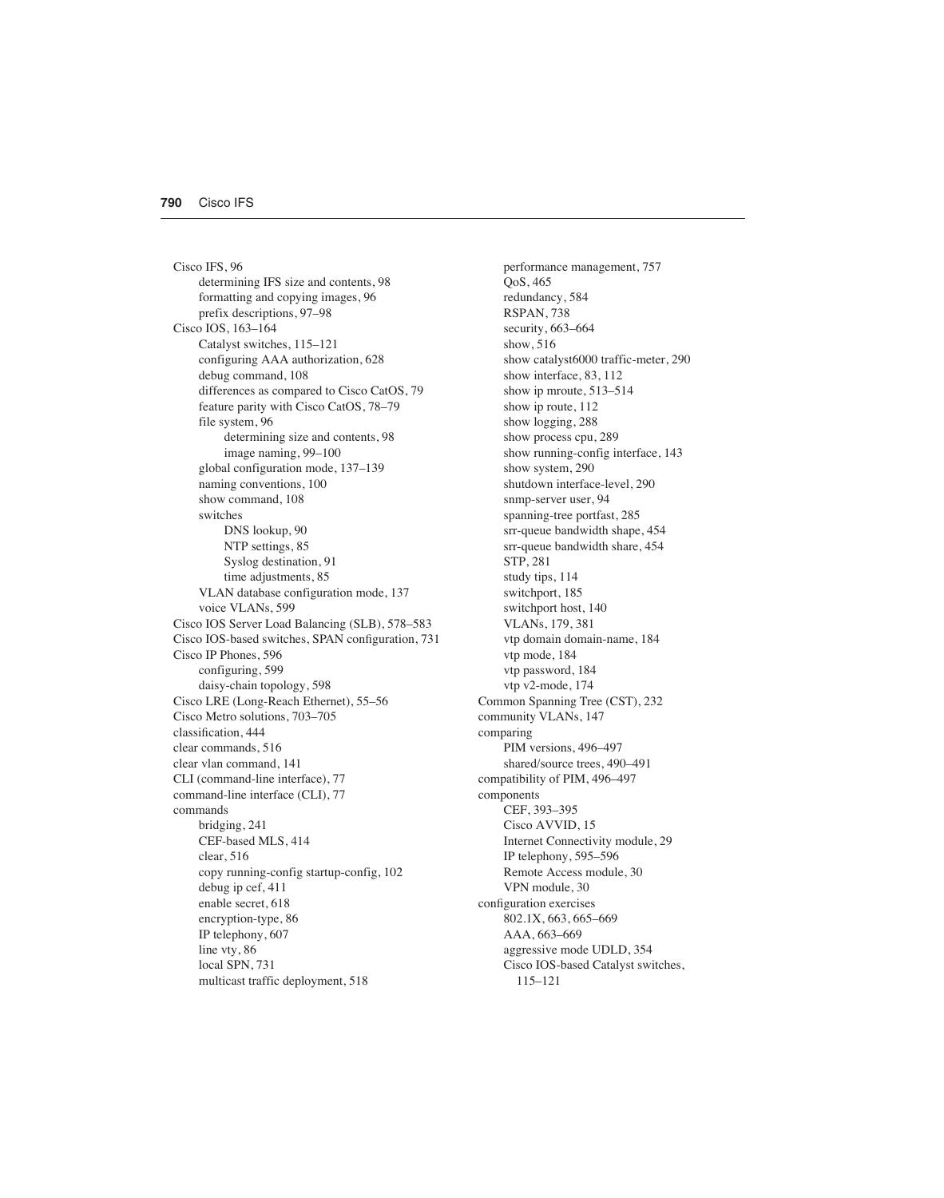Cisco IFS, 96 determining IFS size and contents, 98 formatting and copying images, 96 prefix descriptions, 97–98 Cisco IOS, 163–164 Catalyst switches, 115–121 configuring AAA authorization, 628 debug command, 108 differences as compared to Cisco CatOS, 79 feature parity with Cisco CatOS, 78–79 file system, 96 determining size and contents, 98 image naming, 99–100 global configuration mode, 137–139 naming conventions, 100 show command, 108 switches DNS lookup, 90 NTP settings, 85 Syslog destination, 91 time adjustments, 85 VLAN database configuration mode, 137 voice VLANs, 599 Cisco IOS Server Load Balancing (SLB), 578–583 Cisco IOS-based switches, SPAN configuration, 731 Cisco IP Phones, 596 configuring, 599 daisy-chain topology, 598 Cisco LRE (Long-Reach Ethernet), 55–56 Cisco Metro solutions, 703–705 classification, 444 clear commands, 516 clear vlan command, 141 CLI (command-line interface), 77 command-line interface (CLI), 77 commands bridging, 241 CEF-based MLS, 414 clear, 516 copy running-config startup-config, 102 debug ip cef, 411 enable secret, 618 encryption-type, 86 IP telephony, 607 line vty, 86 local SPN, 731 multicast traffic deployment, 518

performance management, 757 QoS, 465 redundancy, 584 RSPAN, 738 security, 663–664 show, 516 show catalyst6000 traffic-meter, 290 show interface, 83, 112 show ip mroute, 513–514 show ip route, 112 show logging, 288 show process cpu, 289 show running-config interface, 143 show system, 290 shutdown interface-level, 290 snmp-server user, 94 spanning-tree portfast, 285 srr-queue bandwidth shape, 454 srr-queue bandwidth share, 454 STP, 281 study tips, 114 switchport, 185 switchport host, 140 VLANs, 179, 381 vtp domain domain-name, 184 vtp mode, 184 vtp password, 184 vtp v2-mode, 174 Common Spanning Tree (CST), 232 community VLANs, 147 comparing PIM versions, 496–497 shared/source trees, 490–491 compatibility of PIM, 496–497 components CEF, 393–395 Cisco AVVID, 15 Internet Connectivity module, 29 IP telephony, 595–596 Remote Access module, 30 VPN module, 30 configuration exercises 802.1X, 663, 665–669 AAA, 663–669 aggressive mode UDLD, 354 Cisco IOS-based Catalyst switches, 115–121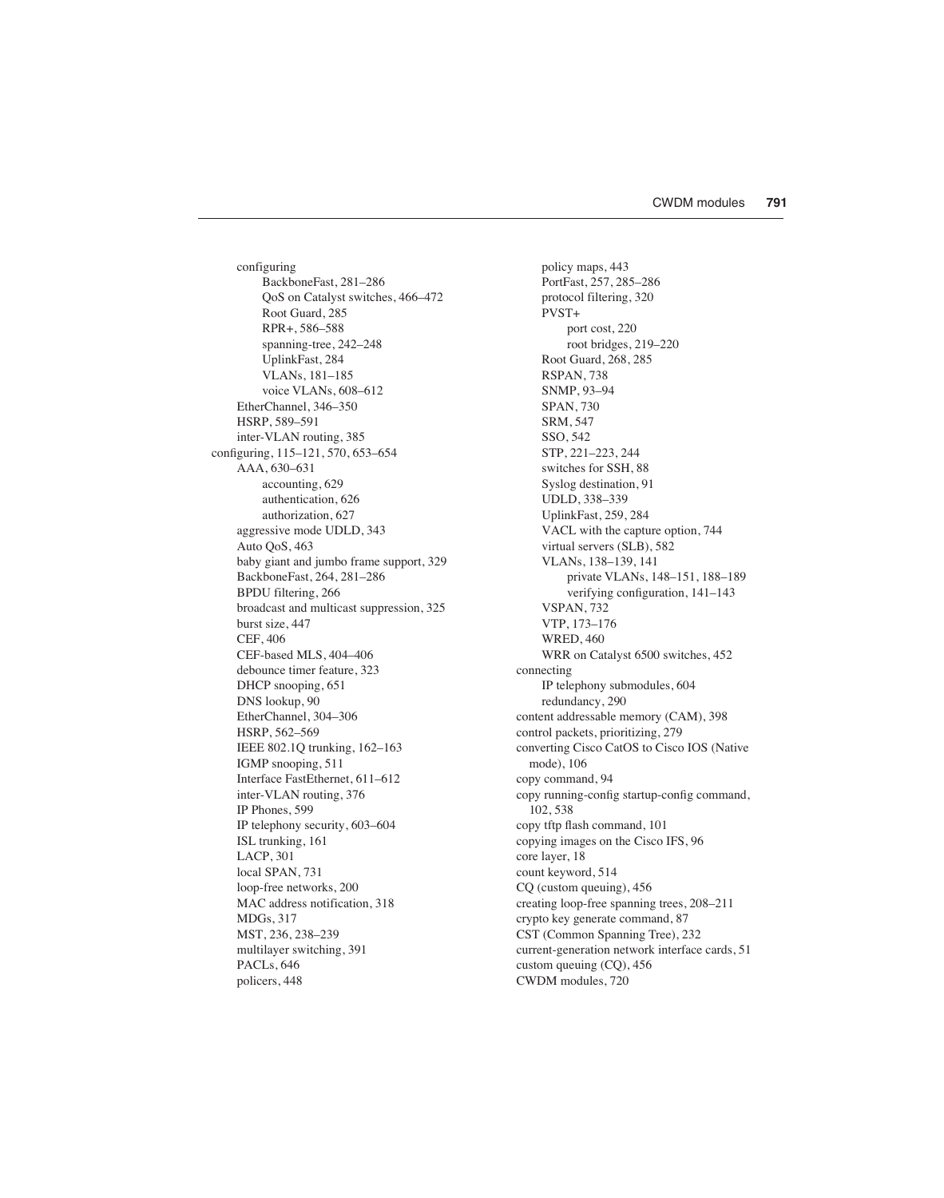configuring BackboneFast, 281–286 QoS on Catalyst switches, 466–472 Root Guard, 285 RPR+, 586–588 spanning-tree, 242–248 UplinkFast, 284 VLANs, 181–185 voice VLANs, 608–612 EtherChannel, 346–350 HSRP, 589–591 inter-VLAN routing, 385 configuring, 115–121, 570, 653–654 AAA, 630–631 accounting, 629 authentication, 626 authorization, 627 aggressive mode UDLD, 343 Auto QoS, 463 baby giant and jumbo frame support, 329 BackboneFast, 264, 281–286 BPDU filtering, 266 broadcast and multicast suppression, 325 burst size, 447 CEF, 406 CEF-based MLS, 404–406 debounce timer feature, 323 DHCP snooping, 651 DNS lookup, 90 EtherChannel, 304–306 HSRP, 562–569 IEEE 802.1Q trunking, 162–163 IGMP snooping, 511 Interface FastEthernet, 611–612 inter-VLAN routing, 376 IP Phones, 599 IP telephony security, 603–604 ISL trunking, 161 LACP, 301 local SPAN, 731 loop-free networks, 200 MAC address notification, 318 MDGs, 317 MST, 236, 238–239 multilayer switching, 391 PACLs, 646 policers, 448

policy maps, 443 PortFast, 257, 285–286 protocol filtering, 320 PVST+ port cost, 220 root bridges, 219–220 Root Guard, 268, 285 RSPAN, 738 SNMP, 93–94 SPAN, 730 SRM, 547 SSO, 542 STP, 221–223, 244 switches for SSH, 88 Syslog destination, 91 UDLD, 338–339 UplinkFast, 259, 284 VACL with the capture option, 744 virtual servers (SLB), 582 VLANs, 138–139, 141 private VLANs, 148–151, 188–189 verifying configuration, 141–143 VSPAN, 732 VTP, 173–176 WRED, 460 WRR on Catalyst 6500 switches, 452 connecting IP telephony submodules, 604 redundancy, 290 content addressable memory (CAM), 398 control packets, prioritizing, 279 converting Cisco CatOS to Cisco IOS (Native mode), 106 copy command, 94 copy running-config startup-config command, 102, 538 copy tftp flash command, 101 copying images on the Cisco IFS, 96 core layer, 18 count keyword, 514 CQ (custom queuing), 456 creating loop-free spanning trees, 208–211 crypto key generate command, 87 CST (Common Spanning Tree), 232 current-generation network interface cards, 51 custom queuing (CQ), 456 CWDM modules, 720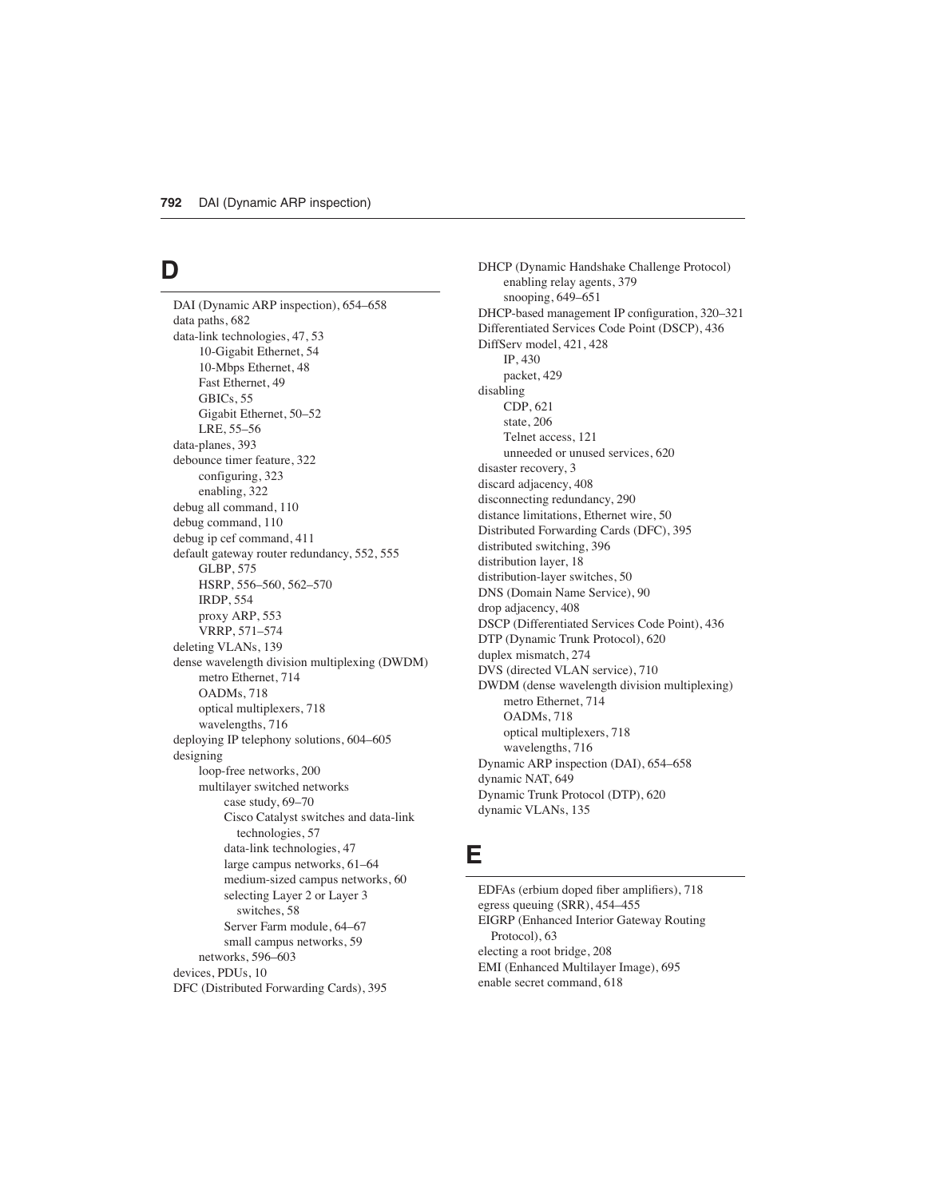### **D**

DAI (Dynamic ARP inspection), 654–658 data paths, 682 data-link technologies, 47, 53 10-Gigabit Ethernet, 54 10-Mbps Ethernet, 48 Fast Ethernet, 49 GBICs, 55 Gigabit Ethernet, 50–52 LRE, 55–56 data-planes, 393 debounce timer feature, 322 configuring, 323 enabling, 322 debug all command, 110 debug command, 110 debug ip cef command, 411 default gateway router redundancy, 552, 555 GLBP, 575 HSRP, 556–560, 562–570 IRDP, 554 proxy ARP, 553 VRRP, 571–574 deleting VLANs, 139 dense wavelength division multiplexing (DWDM) metro Ethernet, 714 OADMs, 718 optical multiplexers, 718 wavelengths, 716 deploying IP telephony solutions, 604–605 designing loop-free networks, 200 multilayer switched networks case study, 69–70 Cisco Catalyst switches and data-link technologies, 57 data-link technologies, 47 large campus networks, 61–64 medium-sized campus networks, 60 selecting Layer 2 or Layer 3 switches, 58 Server Farm module, 64–67 small campus networks, 59 networks, 596–603 devices, PDUs, 10 DFC (Distributed Forwarding Cards), 395

DHCP (Dynamic Handshake Challenge Protocol) enabling relay agents, 379 snooping, 649–651 DHCP-based management IP configuration, 320–321 Differentiated Services Code Point (DSCP), 436 DiffServ model, 421, 428 IP, 430 packet, 429 disabling CDP, 621 state, 206 Telnet access, 121 unneeded or unused services, 620 disaster recovery, 3 discard adjacency, 408 disconnecting redundancy, 290 distance limitations, Ethernet wire, 50 Distributed Forwarding Cards (DFC), 395 distributed switching, 396 distribution layer, 18 distribution-layer switches, 50 DNS (Domain Name Service), 90 drop adjacency, 408 DSCP (Differentiated Services Code Point), 436 DTP (Dynamic Trunk Protocol), 620 duplex mismatch, 274 DVS (directed VLAN service), 710 DWDM (dense wavelength division multiplexing) metro Ethernet, 714 OADMs, 718 optical multiplexers, 718 wavelengths, 716 Dynamic ARP inspection (DAI), 654–658 dynamic NAT, 649 Dynamic Trunk Protocol (DTP), 620 dynamic VLANs, 135

#### **E**

EDFAs (erbium doped fiber amplifiers), 718 egress queuing (SRR), 454–455 EIGRP (Enhanced Interior Gateway Routing Protocol), 63 electing a root bridge, 208 EMI (Enhanced Multilayer Image), 695 enable secret command, 618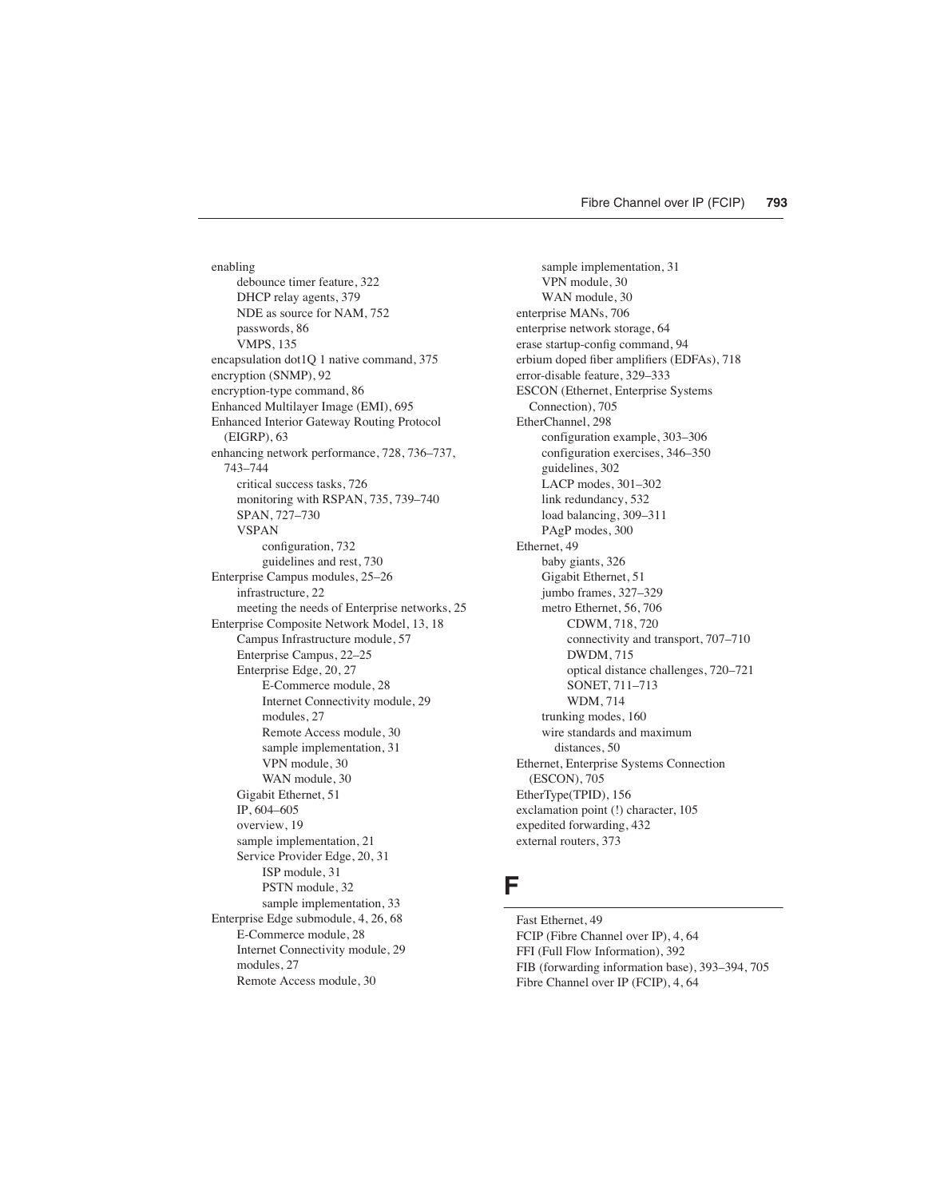enabling debounce timer feature, 322 DHCP relay agents, 379 NDE as source for NAM, 752 passwords, 86 VMPS, 135 encapsulation dot1Q 1 native command, 375 encryption (SNMP), 92 encryption-type command, 86 Enhanced Multilayer Image (EMI), 695 Enhanced Interior Gateway Routing Protocol (EIGRP), 63 enhancing network performance, 728, 736–737, 743–744 critical success tasks, 726 monitoring with RSPAN, 735, 739–740 SPAN, 727–730 VSPAN configuration, 732 guidelines and rest, 730 Enterprise Campus modules, 25–26 infrastructure, 22 meeting the needs of Enterprise networks, 25 Enterprise Composite Network Model, 13, 18 Campus Infrastructure module, 57 Enterprise Campus, 22–25 Enterprise Edge, 20, 27 E-Commerce module, 28 Internet Connectivity module, 29 modules, 27 Remote Access module, 30 sample implementation, 31 VPN module, 30 WAN module, 30 Gigabit Ethernet, 51 IP, 604–605 overview, 19 sample implementation, 21 Service Provider Edge, 20, 31 ISP module, 31 PSTN module, 32 sample implementation, 33 Enterprise Edge submodule, 4, 26, 68 E-Commerce module, 28 Internet Connectivity module, 29 modules, 27 Remote Access module, 30

sample implementation, 31 VPN module, 30 WAN module, 30 enterprise MANs, 706 enterprise network storage, 64 erase startup-config command, 94 erbium doped fiber amplifiers (EDFAs), 718 error-disable feature, 329–333 ESCON (Ethernet, Enterprise Systems Connection), 705 EtherChannel, 298 configuration example, 303–306 configuration exercises, 346–350 guidelines, 302 LACP modes, 301–302 link redundancy, 532 load balancing, 309–311 PAgP modes, 300 Ethernet, 49 baby giants, 326 Gigabit Ethernet, 51 jumbo frames, 327–329 metro Ethernet, 56, 706 CDWM, 718, 720 connectivity and transport, 707–710 DWDM, 715 optical distance challenges, 720–721 SONET, 711–713 WDM, 714 trunking modes, 160 wire standards and maximum distances, 50 Ethernet, Enterprise Systems Connection (ESCON), 705 EtherType(TPID), 156 exclamation point (!) character, 105 expedited forwarding, 432 external routers, 373

#### **F**

Fast Ethernet, 49 FCIP (Fibre Channel over IP), 4, 64 FFI (Full Flow Information), 392 FIB (forwarding information base), 393–394, 705 Fibre Channel over IP (FCIP), 4, 64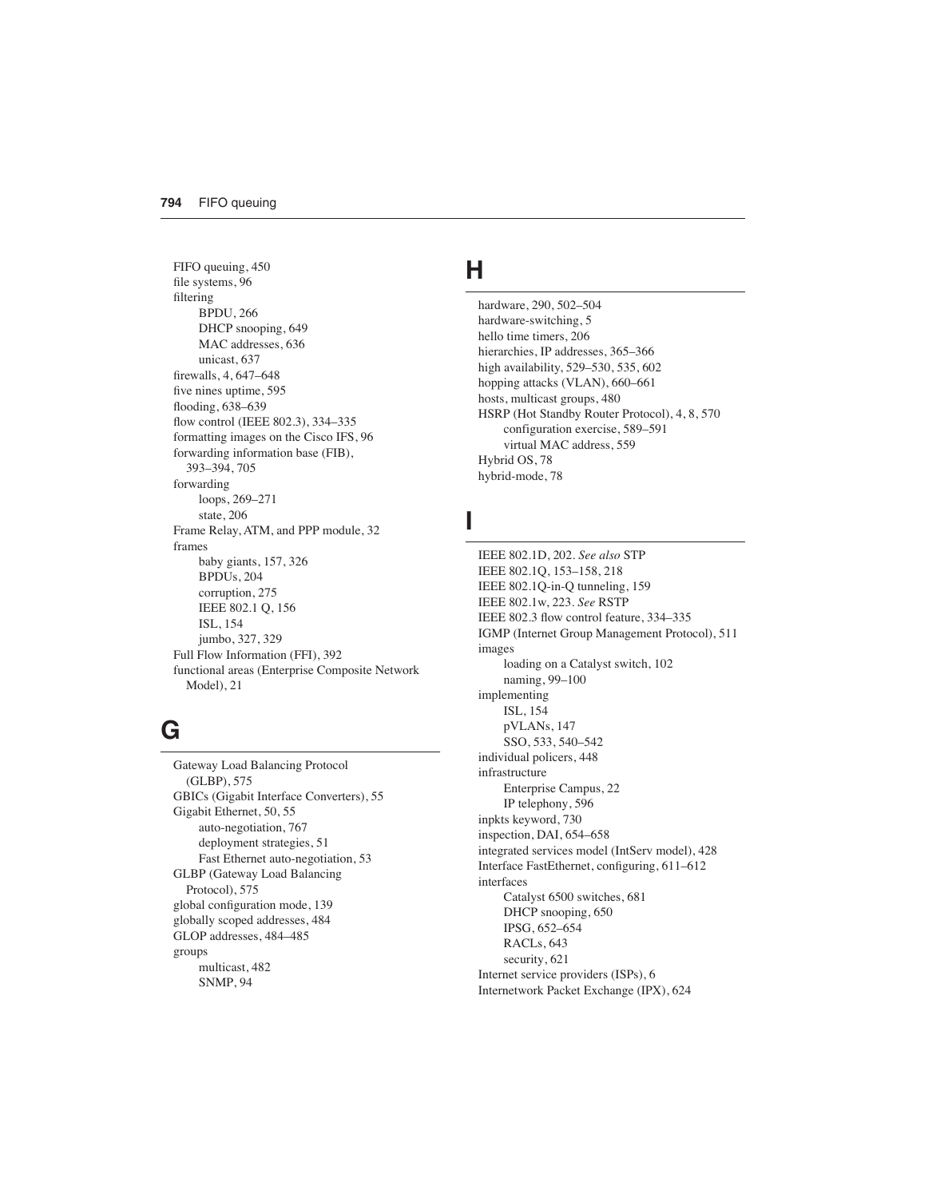FIFO queuing, 450 file systems, 96 filtering BPDU, 266 DHCP snooping, 649 MAC addresses, 636 unicast, 637 firewalls, 4, 647–648 five nines uptime, 595 flooding, 638–639 flow control (IEEE 802.3), 334–335 formatting images on the Cisco IFS, 96 forwarding information base (FIB), 393–394, 705 forwarding loops, 269–271 state, 206 Frame Relay, ATM, and PPP module, 32 frames baby giants, 157, 326 BPDUs, 204 corruption, 275 IEEE 802.1 Q, 156 ISL, 154 jumbo, 327, 329 Full Flow Information (FFI), 392 functional areas (Enterprise Composite Network Model), 21

## **G**

Gateway Load Balancing Protocol (GLBP), 575 GBICs (Gigabit Interface Converters), 55 Gigabit Ethernet, 50, 55 auto-negotiation, 767 deployment strategies, 51 Fast Ethernet auto-negotiation, 53 GLBP (Gateway Load Balancing Protocol), 575 global configuration mode, 139 globally scoped addresses, 484 GLOP addresses, 484–485 groups multicast, 482 SNMP, 94

#### **H**

hardware, 290, 502–504 hardware-switching, 5 hello time timers, 206 hierarchies, IP addresses, 365–366 high availability, 529–530, 535, 602 hopping attacks (VLAN), 660–661 hosts, multicast groups, 480 HSRP (Hot Standby Router Protocol), 4, 8, 570 configuration exercise, 589–591 virtual MAC address, 559 Hybrid OS, 78 hybrid-mode, 78

## **I**

IEEE 802.1D, 202. *See also* STP IEEE 802.1Q, 153–158, 218 IEEE 802.1Q-in-Q tunneling, 159 IEEE 802.1w, 223. *See* RSTP IEEE 802.3 flow control feature, 334–335 IGMP (Internet Group Management Protocol), 511 images loading on a Catalyst switch, 102 naming, 99–100 implementing ISL, 154 pVLANs, 147 SSO, 533, 540–542 individual policers, 448 infrastructure Enterprise Campus, 22 IP telephony, 596 inpkts keyword, 730 inspection, DAI, 654–658 integrated services model (IntServ model), 428 Interface FastEthernet, configuring, 611–612 interfaces Catalyst 6500 switches, 681 DHCP snooping, 650 IPSG, 652–654 RACLs, 643 security, 621 Internet service providers (ISPs), 6 Internetwork Packet Exchange (IPX), 624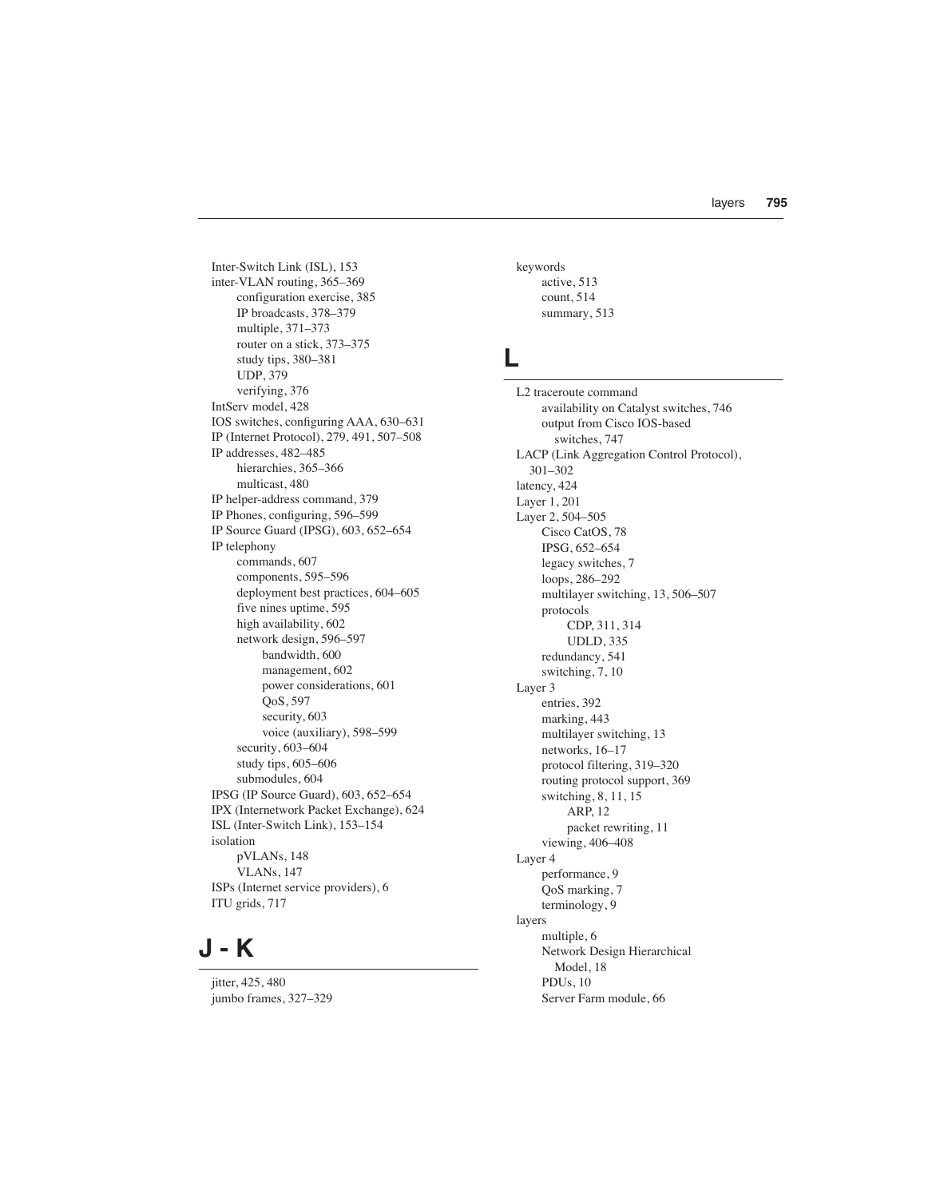Inter-Switch Link (ISL), 153 inter-VLAN routing, 365–369 configuration exercise, 385 IP broadcasts, 378–379 multiple, 371–373 router on a stick, 373–375 study tips, 380–381 UDP, 379 verifying, 376 IntServ model, 428 IOS switches, configuring AAA, 630–631 IP (Internet Protocol), 279, 491, 507–508 IP addresses, 482–485 hierarchies, 365–366 multicast, 480 IP helper-address command, 379 IP Phones, configuring, 596–599 IP Source Guard (IPSG), 603, 652–654 IP telephony commands, 607 components, 595–596 deployment best practices, 604–605 five nines uptime, 595 high availability, 602 network design, 596–597 bandwidth, 600 management, 602 power considerations, 601 QoS, 597 security, 603 voice (auxiliary), 598–599 security, 603–604 study tips, 605–606 submodules, 604 IPSG (IP Source Guard), 603, 652–654 IPX (Internetwork Packet Exchange), 624 ISL (Inter-Switch Link), 153–154 isolation pVLANs, 148 VLANs, 147 ISPs (Internet service providers), 6 ITU grids, 717

### **J - K**

jitter, 425, 480 jumbo frames, 327–329 keywords active, 513 count, 514 summary, 513

## **L**

L2 traceroute command availability on Catalyst switches, 746 output from Cisco IOS-based switches, 747 LACP (Link Aggregation Control Protocol), 301–302 latency, 424 Layer 1, 201 Layer 2, 504–505 Cisco CatOS, 78 IPSG, 652–654 legacy switches, 7 loops, 286–292 multilayer switching, 13, 506–507 protocols CDP, 311, 314 UDLD, 335 redundancy, 541 switching, 7, 10 Layer 3 entries, 392 marking, 443 multilayer switching, 13 networks, 16–17 protocol filtering, 319–320 routing protocol support, 369 switching, 8, 11, 15 ARP, 12 packet rewriting, 11 viewing, 406–408 Layer 4 performance, 9 QoS marking, 7 terminology, 9 layers multiple, 6 Network Design Hierarchical Model, 18 PDUs, 10 Server Farm module, 66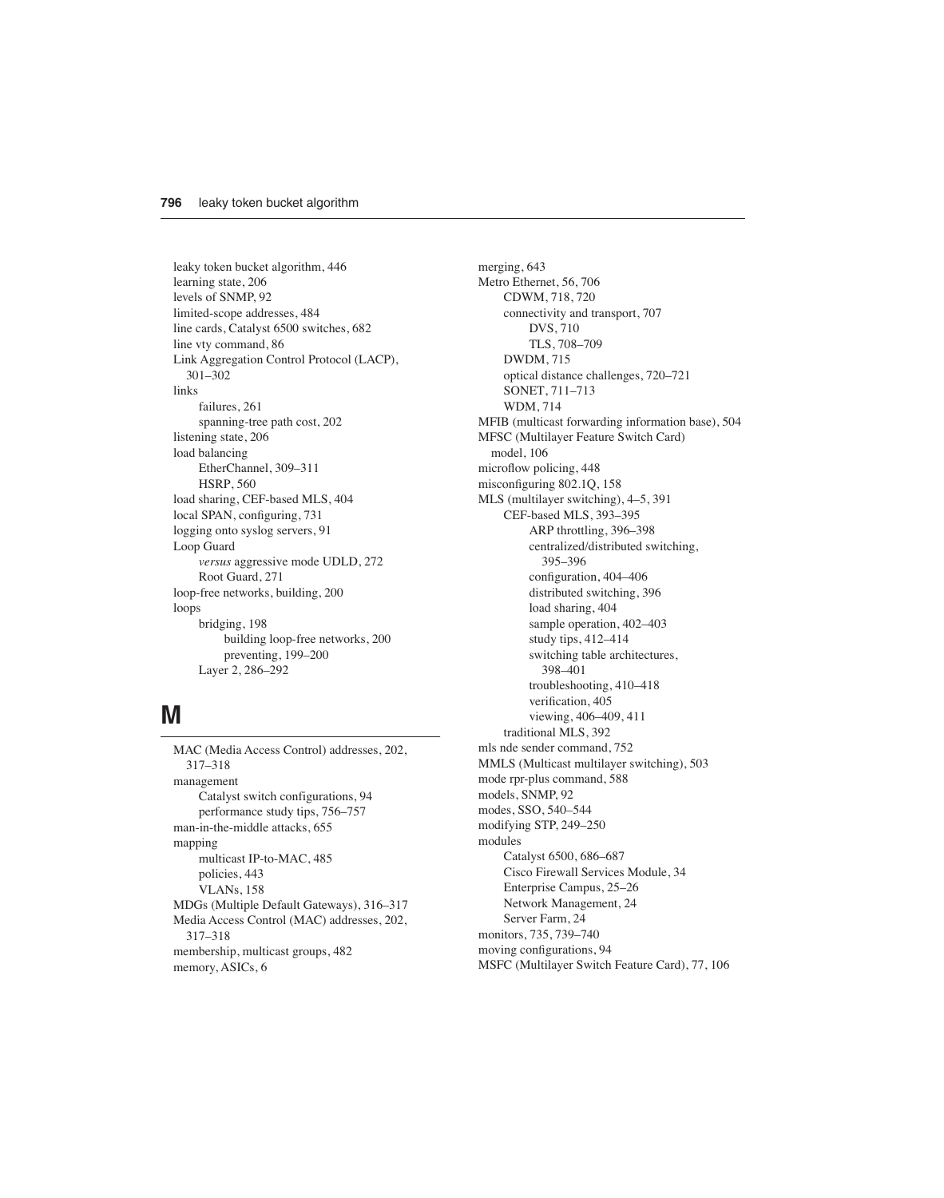leaky token bucket algorithm, 446 learning state, 206 levels of SNMP, 92 limited-scope addresses, 484 line cards, Catalyst 6500 switches, 682 line vty command, 86 Link Aggregation Control Protocol (LACP), 301–302 links failures, 261 spanning-tree path cost, 202 listening state, 206 load balancing EtherChannel, 309–311 HSRP, 560 load sharing, CEF-based MLS, 404 local SPAN, configuring, 731 logging onto syslog servers, 91 Loop Guard *versus* aggressive mode UDLD, 272 Root Guard, 271 loop-free networks, building, 200 loops bridging, 198 building loop-free networks, 200 preventing, 199–200 Layer 2, 286–292

#### **M**

MAC (Media Access Control) addresses, 202, 317–318 management Catalyst switch configurations, 94 performance study tips, 756–757 man-in-the-middle attacks, 655 mapping multicast IP-to-MAC, 485 policies, 443 VLANs, 158 MDGs (Multiple Default Gateways), 316–317 Media Access Control (MAC) addresses, 202, 317–318 membership, multicast groups, 482 memory, ASICs, 6

merging, 643 Metro Ethernet, 56, 706 CDWM, 718, 720 connectivity and transport, 707 DVS, 710 TLS, 708–709 DWDM, 715 optical distance challenges, 720–721 SONET, 711–713 WDM, 714 MFIB (multicast forwarding information base), 504 MFSC (Multilayer Feature Switch Card) model, 106 microflow policing, 448 misconfiguring 802.1Q, 158 MLS (multilayer switching), 4–5, 391 CEF-based MLS, 393–395 ARP throttling, 396–398 centralized/distributed switching, 395–396 configuration, 404–406 distributed switching, 396 load sharing, 404 sample operation, 402–403 study tips, 412–414 switching table architectures, 398–401 troubleshooting, 410–418 verification, 405 viewing, 406–409, 411 traditional MLS, 392 mls nde sender command, 752 MMLS (Multicast multilayer switching), 503 mode rpr-plus command, 588 models, SNMP, 92 modes, SSO, 540–544 modifying STP, 249–250 modules Catalyst 6500, 686–687 Cisco Firewall Services Module, 34 Enterprise Campus, 25–26 Network Management, 24 Server Farm, 24 monitors, 735, 739–740 moving configurations, 94 MSFC (Multilayer Switch Feature Card), 77, 106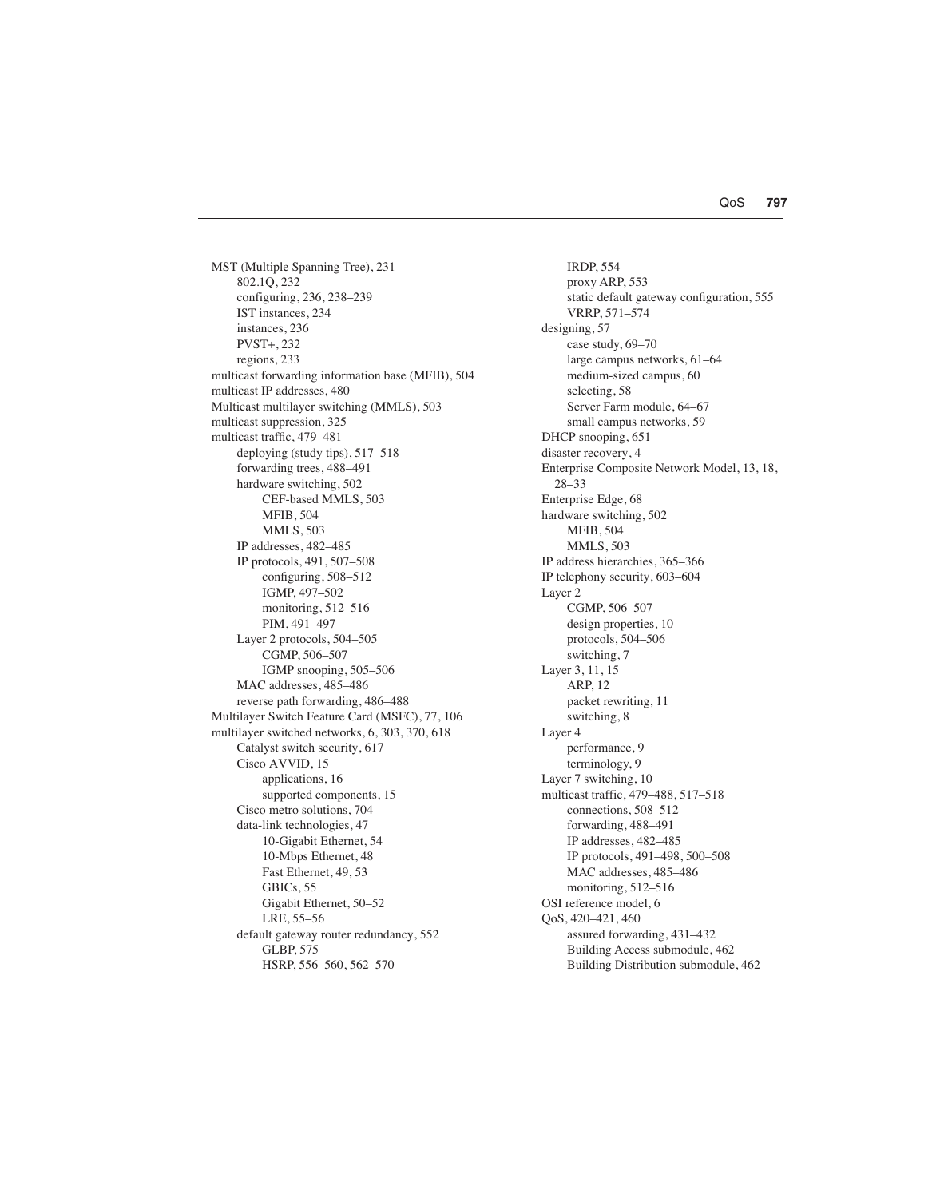MST (Multiple Spanning Tree), 231 802.1Q, 232 configuring, 236, 238–239 IST instances, 234 instances, 236 PVST+, 232 regions, 233 multicast forwarding information base (MFIB), 504 multicast IP addresses, 480 Multicast multilayer switching (MMLS), 503 multicast suppression, 325 multicast traffic, 479–481 deploying (study tips), 517–518 forwarding trees, 488–491 hardware switching, 502 CEF-based MMLS, 503 MFIB, 504 MMLS, 503 IP addresses, 482–485 IP protocols, 491, 507–508 configuring, 508–512 IGMP, 497–502 monitoring, 512–516 PIM, 491–497 Layer 2 protocols, 504–505 CGMP, 506–507 IGMP snooping, 505–506 MAC addresses, 485–486 reverse path forwarding, 486–488 Multilayer Switch Feature Card (MSFC), 77, 106 multilayer switched networks, 6, 303, 370, 618 Catalyst switch security, 617 Cisco AVVID, 15 applications, 16 supported components, 15 Cisco metro solutions, 704 data-link technologies, 47 10-Gigabit Ethernet, 54 10-Mbps Ethernet, 48 Fast Ethernet, 49, 53 GBICs, 55 Gigabit Ethernet, 50–52 LRE, 55–56 default gateway router redundancy, 552 GLBP, 575 HSRP, 556–560, 562–570

IRDP, 554 proxy ARP, 553 static default gateway configuration, 555 VRRP, 571–574 designing, 57 case study, 69–70 large campus networks, 61–64 medium-sized campus, 60 selecting, 58 Server Farm module, 64–67 small campus networks, 59 DHCP snooping, 651 disaster recovery, 4 Enterprise Composite Network Model, 13, 18, 28–33 Enterprise Edge, 68 hardware switching, 502 MFIB, 504 MMLS, 503 IP address hierarchies, 365–366 IP telephony security, 603–604 Layer 2 CGMP, 506–507 design properties, 10 protocols, 504–506 switching, 7 Layer 3, 11, 15 ARP, 12 packet rewriting, 11 switching, 8 Layer 4 performance, 9 terminology, 9 Layer 7 switching, 10 multicast traffic, 479–488, 517–518 connections, 508–512 forwarding, 488–491 IP addresses, 482–485 IP protocols, 491–498, 500–508 MAC addresses, 485–486 monitoring, 512–516 OSI reference model, 6 QoS, 420–421, 460 assured forwarding, 431–432 Building Access submodule, 462 Building Distribution submodule, 462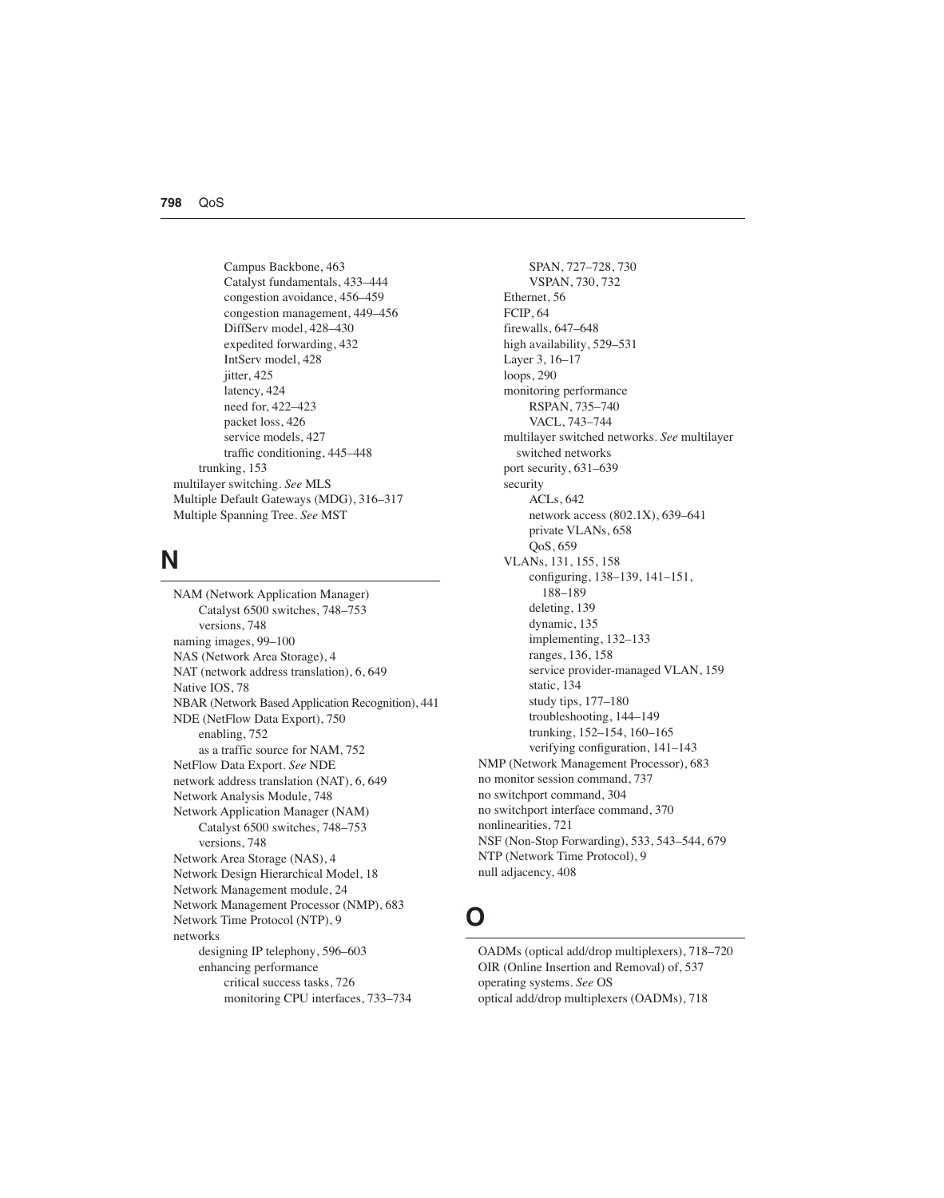Campus Backbone, 463 Catalyst fundamentals, 433–444 congestion avoidance, 456–459 congestion management, 449–456 DiffServ model, 428–430 expedited forwarding, 432 IntServ model, 428 jitter, 425 latency, 424 need for, 422–423 packet loss, 426 service models, 427 traffic conditioning, 445–448 trunking, 153 multilayer switching. *See* MLS Multiple Default Gateways (MDG), 316–317 Multiple Spanning Tree. *See* MST

#### **N**

NAM (Network Application Manager) Catalyst 6500 switches, 748–753 versions, 748 naming images, 99–100 NAS (Network Area Storage), 4 NAT (network address translation), 6, 649 Native IOS, 78 NBAR (Network Based Application Recognition), 441 NDE (NetFlow Data Export), 750 enabling, 752 as a traffic source for NAM, 752 NetFlow Data Export. *See* NDE network address translation (NAT), 6, 649 Network Analysis Module, 748 Network Application Manager (NAM) Catalyst 6500 switches, 748–753 versions, 748 Network Area Storage (NAS), 4 Network Design Hierarchical Model, 18 Network Management module, 24 Network Management Processor (NMP), 683 Network Time Protocol (NTP), 9 networks designing IP telephony, 596–603 enhancing performance critical success tasks, 726 monitoring CPU interfaces, 733–734

SPAN, 727–728, 730 VSPAN, 730, 732 Ethernet, 56 FCIP, 64 firewalls, 647–648 high availability, 529–531 Layer 3, 16–17 loops, 290 monitoring performance RSPAN, 735–740 VACL, 743–744 multilayer switched networks. *See* multilayer switched networks port security, 631–639 security ACLs, 642 network access (802.1X), 639–641 private VLANs, 658 QoS, 659 VLANs, 131, 155, 158 configuring, 138–139, 141–151, 188–189 deleting, 139 dynamic, 135 implementing, 132–133 ranges, 136, 158 service provider-managed VLAN, 159 static, 134 study tips, 177–180 troubleshooting, 144–149 trunking, 152–154, 160–165 verifying configuration, 141–143 NMP (Network Management Processor), 683 no monitor session command, 737 no switchport command, 304 no switchport interface command, 370 nonlinearities, 721 NSF (Non-Stop Forwarding), 533, 543–544, 679 NTP (Network Time Protocol), 9 null adjacency, 408

## **O**

OADMs (optical add/drop multiplexers), 718–720 OIR (Online Insertion and Removal) of, 537 operating systems. *See* OS optical add/drop multiplexers (OADMs), 718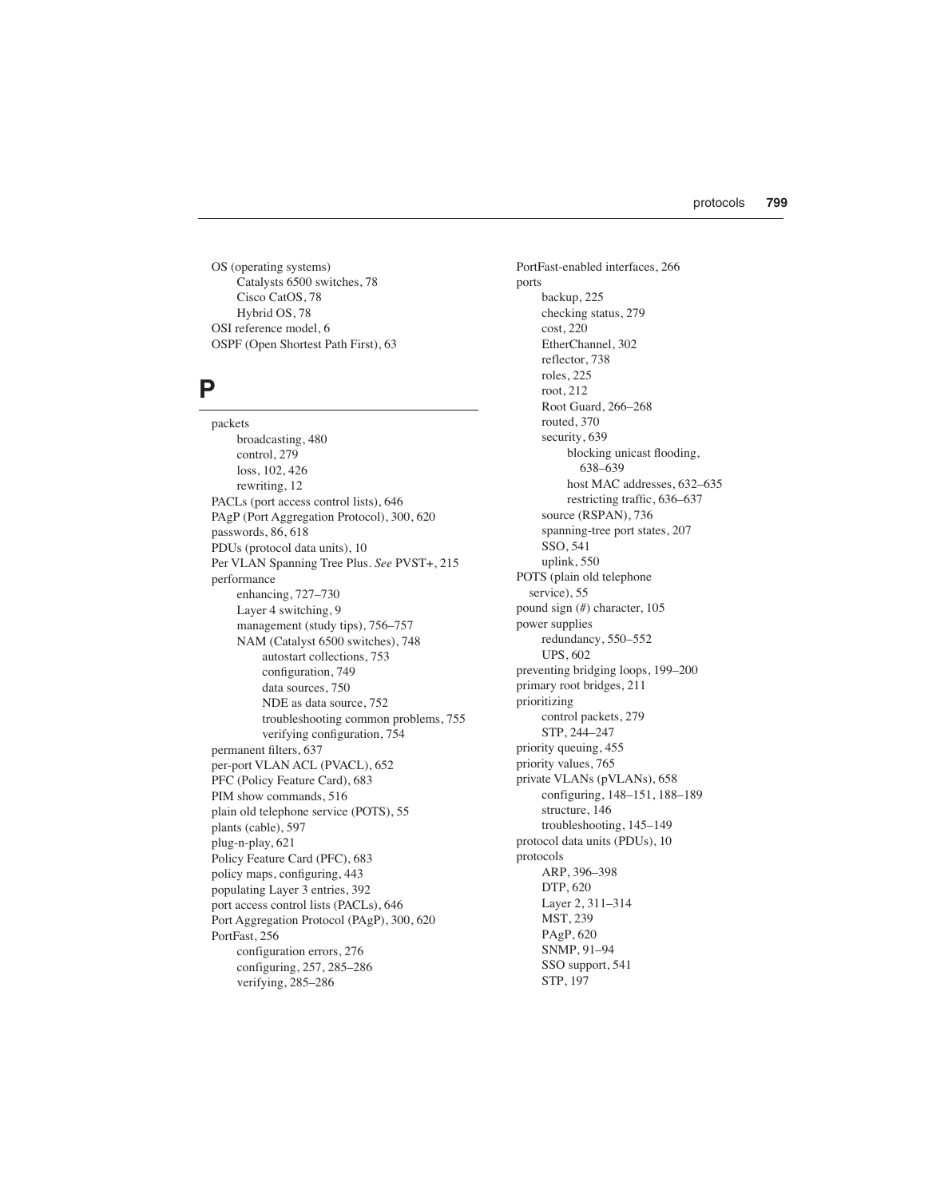OS (operating systems) Catalysts 6500 switches, 78 Cisco CatOS, 78 Hybrid OS, 78 OSI reference model, 6 OSPF (Open Shortest Path First), 63

#### **P**

packets broadcasting, 480 control, 279 loss, 102, 426 rewriting, 12 PACLs (port access control lists), 646 PAgP (Port Aggregation Protocol), 300, 620 passwords, 86, 618 PDUs (protocol data units), 10 Per VLAN Spanning Tree Plus. *See* PVST+, 215 performance enhancing, 727–730 Layer 4 switching, 9 management (study tips), 756–757 NAM (Catalyst 6500 switches), 748 autostart collections, 753 configuration, 749 data sources, 750 NDE as data source, 752 troubleshooting common problems, 755 verifying configuration, 754 permanent filters, 637 per-port VLAN ACL (PVACL), 652 PFC (Policy Feature Card), 683 PIM show commands, 516 plain old telephone service (POTS), 55 plants (cable), 597 plug-n-play, 621 Policy Feature Card (PFC), 683 policy maps, configuring, 443 populating Layer 3 entries, 392 port access control lists (PACLs), 646 Port Aggregation Protocol (PAgP), 300, 620 PortFast, 256 configuration errors, 276 configuring, 257, 285–286 verifying, 285–286

PortFast-enabled interfaces, 266 ports backup, 225 checking status, 279 cost, 220 EtherChannel, 302 reflector, 738 roles, 225 root, 212 Root Guard, 266–268 routed, 370 security, 639 blocking unicast flooding, 638–639 host MAC addresses, 632–635 restricting traffic, 636–637 source (RSPAN), 736 spanning-tree port states, 207 SSO, 541 uplink, 550 POTS (plain old telephone service), 55 pound sign (#) character, 105 power supplies redundancy, 550–552 UPS, 602 preventing bridging loops, 199–200 primary root bridges, 211 prioritizing control packets, 279 STP, 244–247 priority queuing, 455 priority values, 765 private VLANs (pVLANs), 658 configuring, 148–151, 188–189 structure, 146 troubleshooting, 145–149 protocol data units (PDUs), 10 protocols ARP, 396–398 DTP, 620 Layer 2, 311–314 MST, 239 PAgP, 620 SNMP, 91–94 SSO support, 541 STP, 197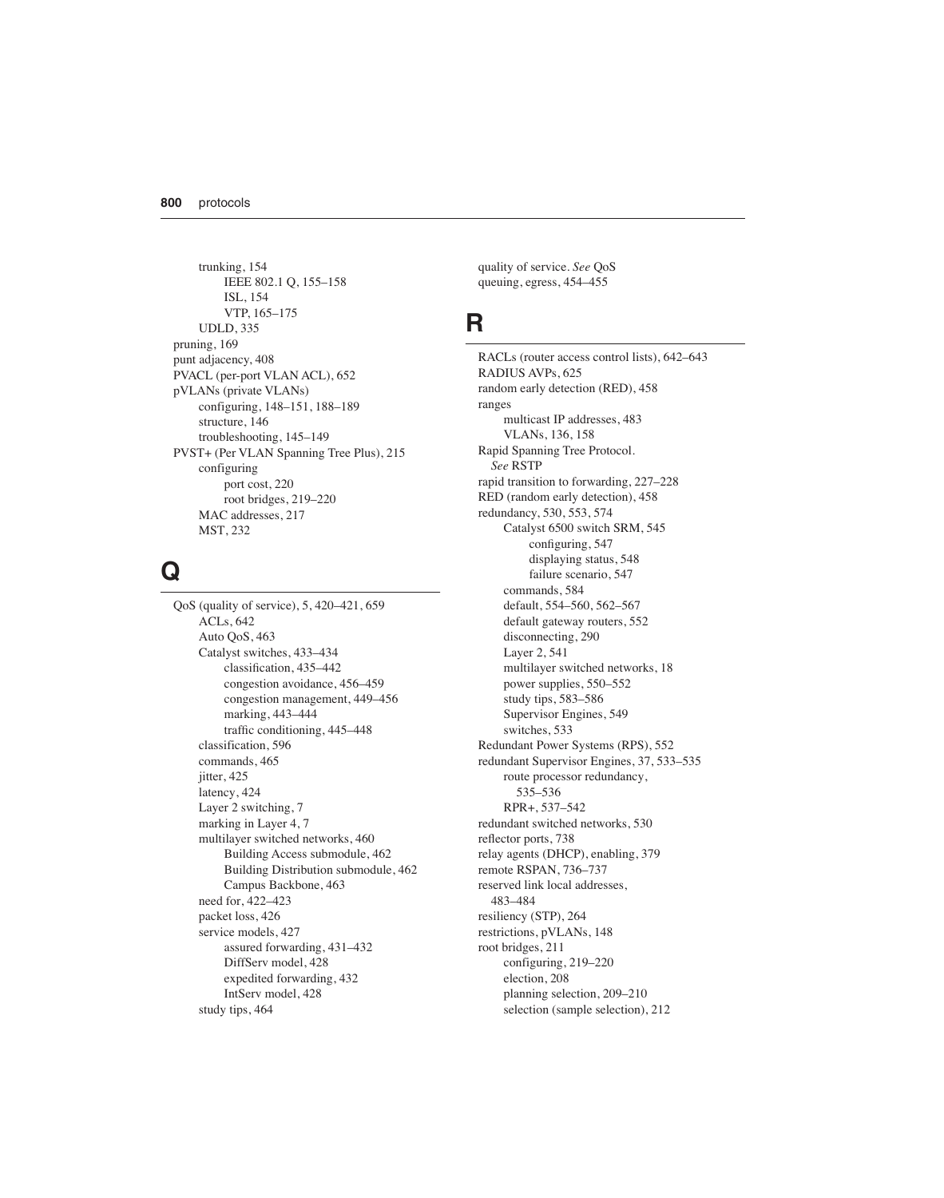trunking, 154 IEEE 802.1 Q, 155–158 ISL, 154 VTP, 165–175 UDLD, 335 pruning, 169 punt adjacency, 408 PVACL (per-port VLAN ACL), 652 pVLANs (private VLANs) configuring, 148–151, 188–189 structure, 146 troubleshooting, 145–149 PVST+ (Per VLAN Spanning Tree Plus), 215 configuring port cost, 220 root bridges, 219–220 MAC addresses, 217 MST, 232

#### **Q**

QoS (quality of service), 5, 420–421, 659 ACLs, 642 Auto QoS, 463 Catalyst switches, 433–434 classification, 435–442 congestion avoidance, 456–459 congestion management, 449–456 marking, 443–444 traffic conditioning, 445–448 classification, 596 commands, 465 jitter, 425 latency, 424 Layer 2 switching, 7 marking in Layer 4, 7 multilayer switched networks, 460 Building Access submodule, 462 Building Distribution submodule, 462 Campus Backbone, 463 need for, 422–423 packet loss, 426 service models, 427 assured forwarding, 431–432 DiffServ model, 428 expedited forwarding, 432 IntServ model, 428 study tips, 464

quality of service. *See* QoS queuing, egress, 454–455

#### **R**

RACLs (router access control lists), 642–643 RADIUS AVPs, 625 random early detection (RED), 458 ranges multicast IP addresses, 483 VLANs, 136, 158 Rapid Spanning Tree Protocol. *See* RSTP rapid transition to forwarding, 227–228 RED (random early detection), 458 redundancy, 530, 553, 574 Catalyst 6500 switch SRM, 545 configuring, 547 displaying status, 548 failure scenario, 547 commands, 584 default, 554–560, 562–567 default gateway routers, 552 disconnecting, 290 Layer 2, 541 multilayer switched networks, 18 power supplies, 550–552 study tips, 583–586 Supervisor Engines, 549 switches, 533 Redundant Power Systems (RPS), 552 redundant Supervisor Engines, 37, 533–535 route processor redundancy, 535–536 RPR+, 537–542 redundant switched networks, 530 reflector ports, 738 relay agents (DHCP), enabling, 379 remote RSPAN, 736–737 reserved link local addresses, 483–484 resiliency (STP), 264 restrictions, pVLANs, 148 root bridges, 211 configuring, 219–220 election, 208 planning selection, 209–210 selection (sample selection), 212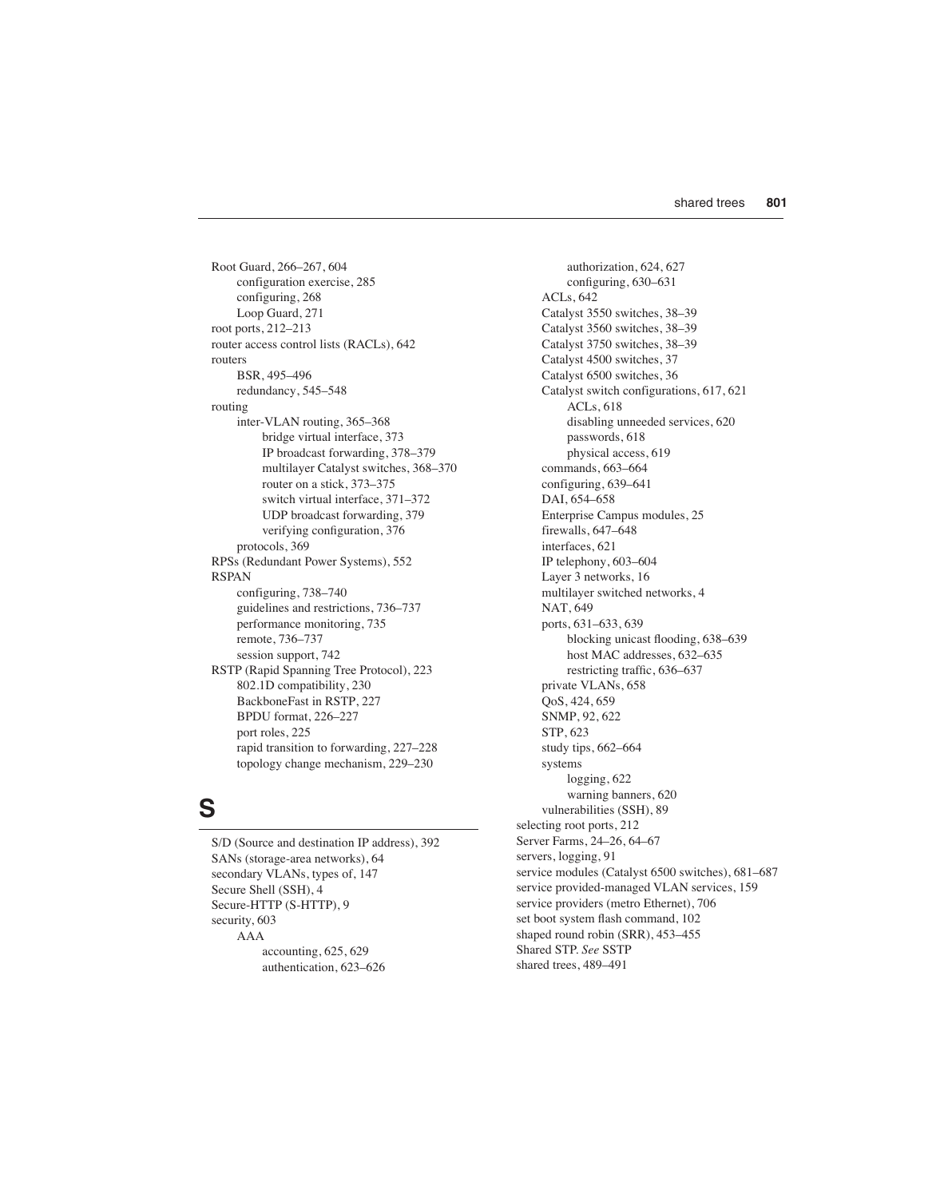Root Guard, 266–267, 604 configuration exercise, 285 configuring, 268 Loop Guard, 271 root ports, 212–213 router access control lists (RACLs), 642 routers BSR, 495–496 redundancy, 545–548 routing inter-VLAN routing, 365–368 bridge virtual interface, 373 IP broadcast forwarding, 378–379 multilayer Catalyst switches, 368–370 router on a stick, 373–375 switch virtual interface, 371–372 UDP broadcast forwarding, 379 verifying configuration, 376 protocols, 369 RPSs (Redundant Power Systems), 552 RSPAN configuring, 738–740 guidelines and restrictions, 736–737 performance monitoring, 735 remote, 736–737 session support, 742 RSTP (Rapid Spanning Tree Protocol), 223 802.1D compatibility, 230 BackboneFast in RSTP, 227 BPDU format, 226–227 port roles, 225 rapid transition to forwarding, 227–228 topology change mechanism, 229–230

## **S**

S/D (Source and destination IP address), 392 SANs (storage-area networks), 64 secondary VLANs, types of, 147 Secure Shell (SSH), 4 Secure-HTTP (S-HTTP), 9 security, 603 AAA accounting, 625, 629 authentication, 623–626

authorization, 624, 627 configuring, 630–631 ACLs, 642 Catalyst 3550 switches, 38–39 Catalyst 3560 switches, 38–39 Catalyst 3750 switches, 38–39 Catalyst 4500 switches, 37 Catalyst 6500 switches, 36 Catalyst switch configurations, 617, 621 ACLs, 618 disabling unneeded services, 620 passwords, 618 physical access, 619 commands, 663–664 configuring, 639–641 DAI, 654–658 Enterprise Campus modules, 25 firewalls, 647–648 interfaces, 621 IP telephony, 603–604 Layer 3 networks, 16 multilayer switched networks, 4 NAT, 649 ports, 631–633, 639 blocking unicast flooding, 638–639 host MAC addresses, 632–635 restricting traffic, 636–637 private VLANs, 658 QoS, 424, 659 SNMP, 92, 622 STP, 623 study tips, 662–664 systems logging, 622 warning banners, 620 vulnerabilities (SSH), 89 selecting root ports, 212 Server Farms, 24–26, 64–67 servers, logging, 91 service modules (Catalyst 6500 switches), 681–687 service provided-managed VLAN services, 159 service providers (metro Ethernet), 706 set boot system flash command, 102 shaped round robin (SRR), 453–455 Shared STP. *See* SSTP shared trees, 489–491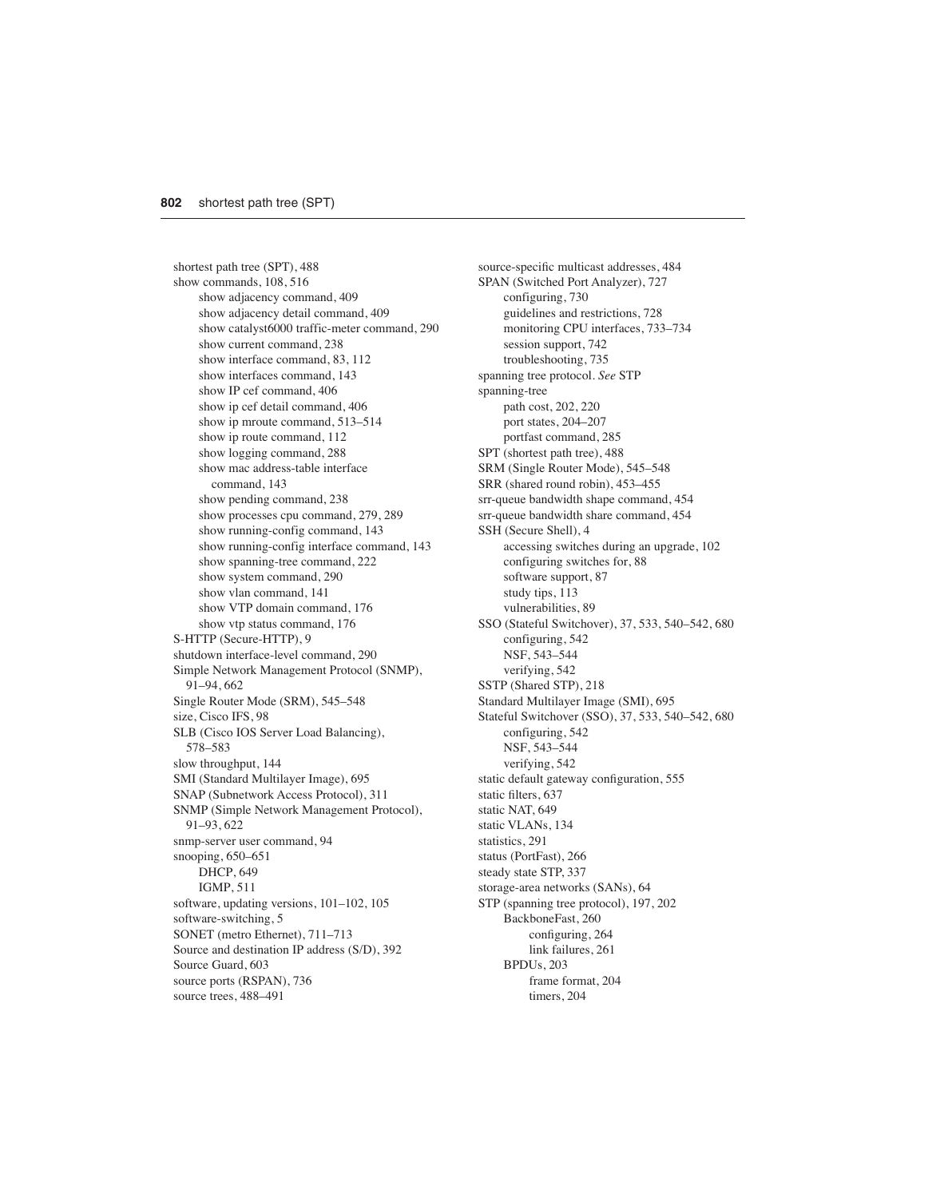shortest path tree (SPT), 488 show commands, 108, 516 show adjacency command, 409 show adjacency detail command, 409 show catalyst6000 traffic-meter command, 290 show current command, 238 show interface command, 83, 112 show interfaces command, 143 show IP cef command, 406 show ip cef detail command, 406 show ip mroute command, 513–514 show ip route command, 112 show logging command, 288 show mac address-table interface command, 143 show pending command, 238 show processes cpu command, 279, 289 show running-config command, 143 show running-config interface command, 143 show spanning-tree command, 222 show system command, 290 show vlan command, 141 show VTP domain command, 176 show vtp status command, 176 S-HTTP (Secure-HTTP), 9 shutdown interface-level command, 290 Simple Network Management Protocol (SNMP), 91–94, 662 Single Router Mode (SRM), 545–548 size, Cisco IFS, 98 SLB (Cisco IOS Server Load Balancing), 578–583 slow throughput, 144 SMI (Standard Multilayer Image), 695 SNAP (Subnetwork Access Protocol), 311 SNMP (Simple Network Management Protocol), 91–93, 622 snmp-server user command, 94 snooping, 650–651 DHCP, 649 IGMP, 511 software, updating versions, 101–102, 105 software-switching, 5 SONET (metro Ethernet), 711–713 Source and destination IP address (S/D), 392 Source Guard, 603 source ports (RSPAN), 736 source trees, 488–491

source-specific multicast addresses, 484 SPAN (Switched Port Analyzer), 727 configuring, 730 guidelines and restrictions, 728 monitoring CPU interfaces, 733–734 session support, 742 troubleshooting, 735 spanning tree protocol. *See* STP spanning-tree path cost, 202, 220 port states, 204–207 portfast command, 285 SPT (shortest path tree), 488 SRM (Single Router Mode), 545–548 SRR (shared round robin), 453–455 srr-queue bandwidth shape command, 454 srr-queue bandwidth share command, 454 SSH (Secure Shell), 4 accessing switches during an upgrade, 102 configuring switches for, 88 software support, 87 study tips, 113 vulnerabilities, 89 SSO (Stateful Switchover), 37, 533, 540–542, 680 configuring, 542 NSF, 543–544 verifying, 542 SSTP (Shared STP), 218 Standard Multilayer Image (SMI), 695 Stateful Switchover (SSO), 37, 533, 540–542, 680 configuring, 542 NSF, 543–544 verifying, 542 static default gateway configuration, 555 static filters, 637 static NAT, 649 static VLANs, 134 statistics, 291 status (PortFast), 266 steady state STP, 337 storage-area networks (SANs), 64 STP (spanning tree protocol), 197, 202 BackboneFast, 260 configuring, 264 link failures, 261 BPDUs, 203

> frame format, 204 timers, 204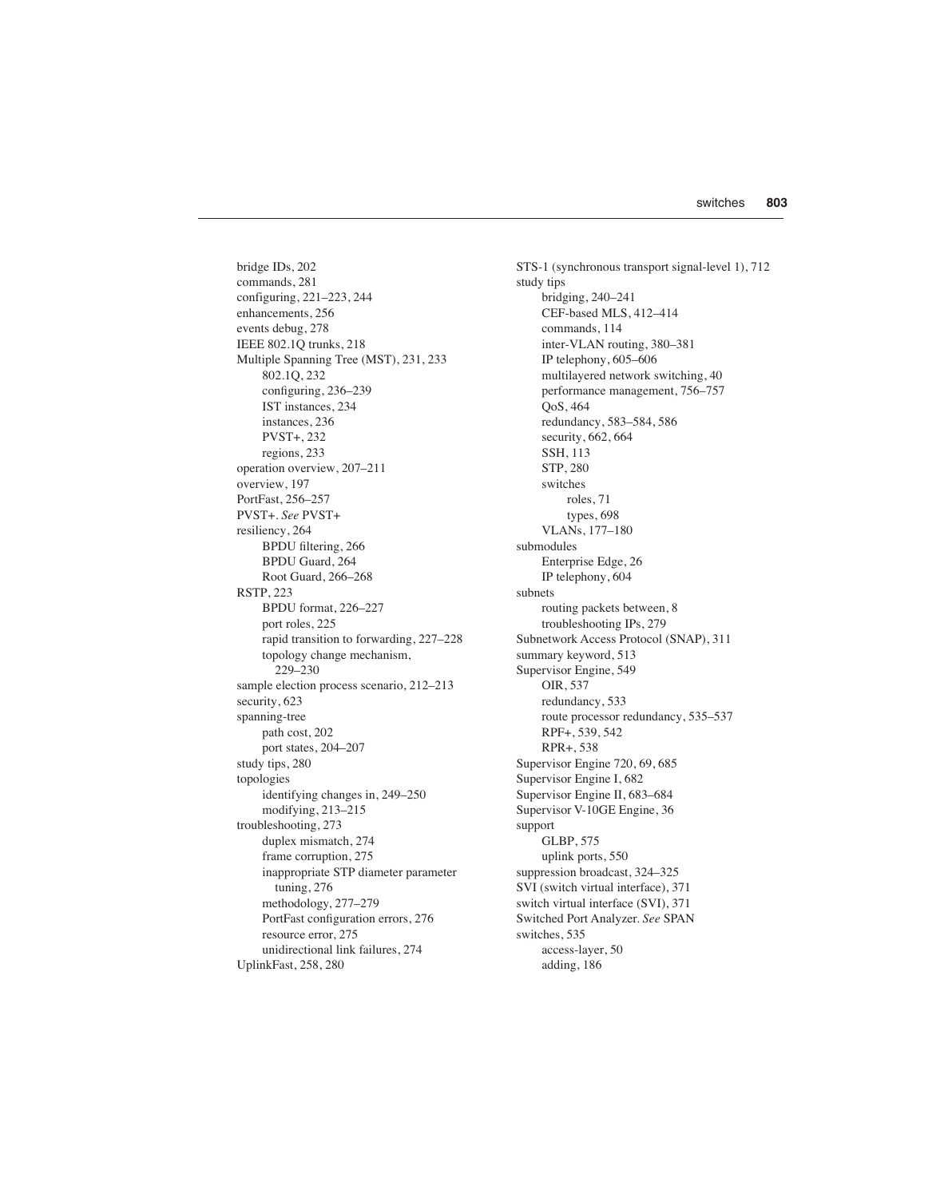bridge IDs, 202 commands, 281 configuring, 221–223, 244 enhancements, 256 events debug, 278 IEEE 802.1Q trunks, 218 Multiple Spanning Tree (MST), 231, 233 802.1Q, 232 configuring, 236–239 IST instances, 234 instances, 236 PVST+, 232 regions, 233 operation overview, 207–211 overview, 197 PortFast, 256–257 PVST+. *See* PVST+ resiliency, 264 BPDU filtering, 266 BPDU Guard, 264 Root Guard, 266–268 RSTP, 223 BPDU format, 226–227 port roles, 225 rapid transition to forwarding, 227–228 topology change mechanism, 229–230 sample election process scenario, 212–213 security, 623 spanning-tree path cost, 202 port states, 204–207 study tips, 280 topologies identifying changes in, 249–250 modifying, 213–215 troubleshooting, 273 duplex mismatch, 274 frame corruption, 275 inappropriate STP diameter parameter tuning, 276 methodology, 277–279 PortFast configuration errors, 276 resource error, 275 unidirectional link failures, 274 UplinkFast, 258, 280

STS-1 (synchronous transport signal-level 1), 712 study tips bridging, 240–241 CEF-based MLS, 412–414 commands, 114 inter-VLAN routing, 380–381 IP telephony, 605–606 multilayered network switching, 40 performance management, 756–757 QoS, 464 redundancy, 583–584, 586 security, 662, 664 SSH, 113 STP, 280 switches roles, 71 types, 698 VLANs, 177–180 submodules Enterprise Edge, 26 IP telephony, 604 subnets routing packets between, 8 troubleshooting IPs, 279 Subnetwork Access Protocol (SNAP), 311 summary keyword, 513 Supervisor Engine, 549 OIR, 537 redundancy, 533 route processor redundancy, 535–537 RPF+, 539, 542 RPR+, 538 Supervisor Engine 720, 69, 685 Supervisor Engine I, 682 Supervisor Engine II, 683–684 Supervisor V-10GE Engine, 36 support GLBP, 575 uplink ports, 550 suppression broadcast, 324–325 SVI (switch virtual interface), 371 switch virtual interface (SVI), 371 Switched Port Analyzer. *See* SPAN switches, 535 access-layer, 50 adding, 186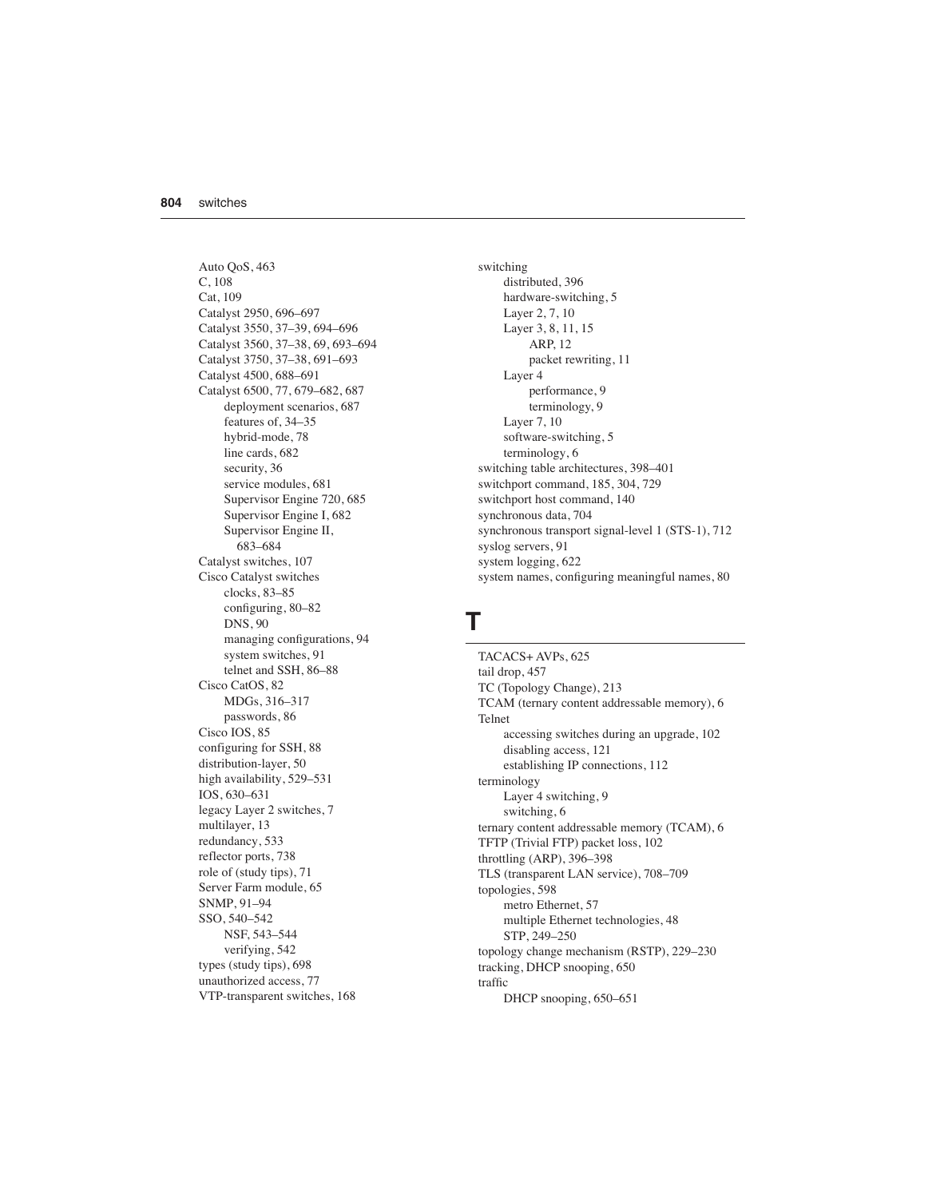Auto QoS, 463 C, 108 Cat, 109 Catalyst 2950, 696–697 Catalyst 3550, 37–39, 694–696 Catalyst 3560, 37–38, 69, 693–694 Catalyst 3750, 37–38, 691–693 Catalyst 4500, 688–691 Catalyst 6500, 77, 679–682, 687 deployment scenarios, 687 features of, 34–35 hybrid-mode, 78 line cards, 682 security, 36 service modules, 681 Supervisor Engine 720, 685 Supervisor Engine I, 682 Supervisor Engine II, 683–684 Catalyst switches, 107 Cisco Catalyst switches clocks, 83–85 configuring, 80–82 DNS, 90 managing configurations, 94 system switches, 91 telnet and SSH, 86–88 Cisco CatOS, 82 MDGs, 316–317 passwords, 86 Cisco IOS, 85 configuring for SSH, 88 distribution-layer, 50 high availability, 529–531 IOS, 630–631 legacy Layer 2 switches, 7 multilayer, 13 redundancy, 533 reflector ports, 738 role of (study tips), 71 Server Farm module, 65 SNMP, 91–94 SSO, 540–542 NSF, 543–544 verifying, 542 types (study tips), 698 unauthorized access, 77 VTP-transparent switches, 168

switching distributed, 396 hardware-switching, 5 Layer 2, 7, 10 Layer 3, 8, 11, 15 ARP, 12 packet rewriting, 11 Layer 4 performance, 9 terminology, 9 Layer 7, 10 software-switching, 5 terminology, 6 switching table architectures, 398–401 switchport command, 185, 304, 729 switchport host command, 140 synchronous data, 704 synchronous transport signal-level 1 (STS-1), 712 syslog servers, 91 system logging, 622 system names, configuring meaningful names, 80

#### **T**

TACACS+ AVPs, 625 tail drop, 457 TC (Topology Change), 213 TCAM (ternary content addressable memory), 6 Telnet accessing switches during an upgrade, 102 disabling access, 121 establishing IP connections, 112 terminology Layer 4 switching, 9 switching, 6 ternary content addressable memory (TCAM), 6 TFTP (Trivial FTP) packet loss, 102 throttling (ARP), 396–398 TLS (transparent LAN service), 708–709 topologies, 598 metro Ethernet, 57 multiple Ethernet technologies, 48 STP, 249–250 topology change mechanism (RSTP), 229–230 tracking, DHCP snooping, 650 traffic DHCP snooping, 650–651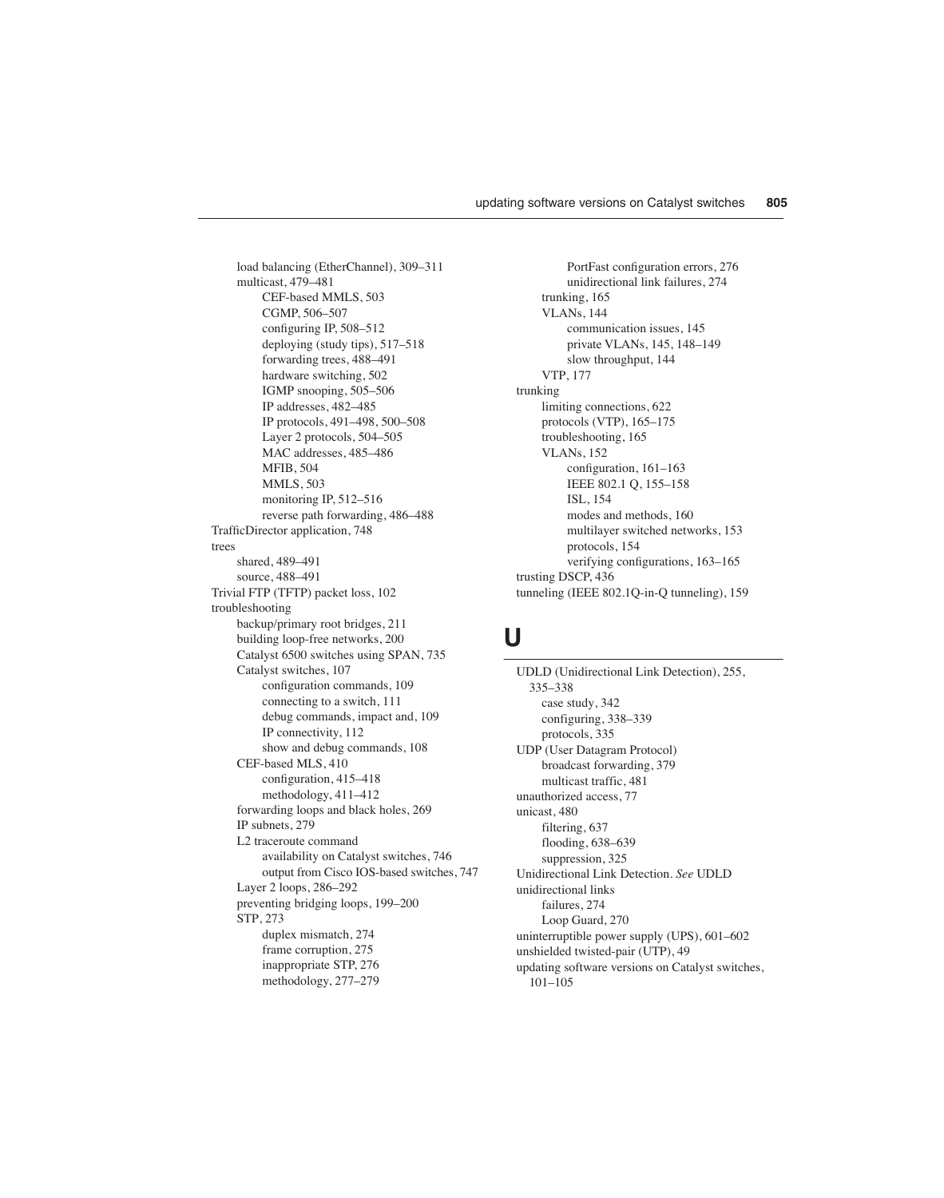load balancing (EtherChannel), 309–311 multicast, 479–481 CEF-based MMLS, 503 CGMP, 506–507 configuring IP, 508–512 deploying (study tips), 517–518 forwarding trees, 488–491 hardware switching, 502 IGMP snooping, 505–506 IP addresses, 482–485 IP protocols, 491–498, 500–508 Layer 2 protocols, 504–505 MAC addresses, 485–486 MFIB, 504 MMLS, 503 monitoring IP, 512–516 reverse path forwarding, 486–488 TrafficDirector application, 748 trees shared, 489–491 source, 488–491 Trivial FTP (TFTP) packet loss, 102 troubleshooting backup/primary root bridges, 211 building loop-free networks, 200 Catalyst 6500 switches using SPAN, 735 Catalyst switches, 107 configuration commands, 109 connecting to a switch, 111 debug commands, impact and, 109 IP connectivity, 112 show and debug commands, 108 CEF-based MLS, 410 configuration, 415–418 methodology, 411–412 forwarding loops and black holes, 269 IP subnets, 279 L2 traceroute command availability on Catalyst switches, 746 output from Cisco IOS-based switches, 747 Layer 2 loops, 286–292 preventing bridging loops, 199–200 STP, 273 duplex mismatch, 274 frame corruption, 275 inappropriate STP, 276 methodology, 277–279

PortFast configuration errors, 276 unidirectional link failures, 274 trunking, 165 VLANs, 144 communication issues, 145 private VLANs, 145, 148–149 slow throughput, 144 VTP, 177 trunking limiting connections, 622 protocols (VTP), 165–175 troubleshooting, 165 VLANs, 152 configuration, 161–163 IEEE 802.1 Q, 155–158 ISL, 154 modes and methods, 160 multilayer switched networks, 153 protocols, 154 verifying configurations, 163–165 trusting DSCP, 436 tunneling (IEEE 802.1Q-in-Q tunneling), 159

### **U**

UDLD (Unidirectional Link Detection), 255, 335–338 case study, 342 configuring, 338–339 protocols, 335 UDP (User Datagram Protocol) broadcast forwarding, 379 multicast traffic, 481 unauthorized access, 77 unicast, 480 filtering, 637 flooding, 638–639 suppression, 325 Unidirectional Link Detection. *See* UDLD unidirectional links failures, 274 Loop Guard, 270 uninterruptible power supply (UPS), 601–602 unshielded twisted-pair (UTP), 49 updating software versions on Catalyst switches, 101–105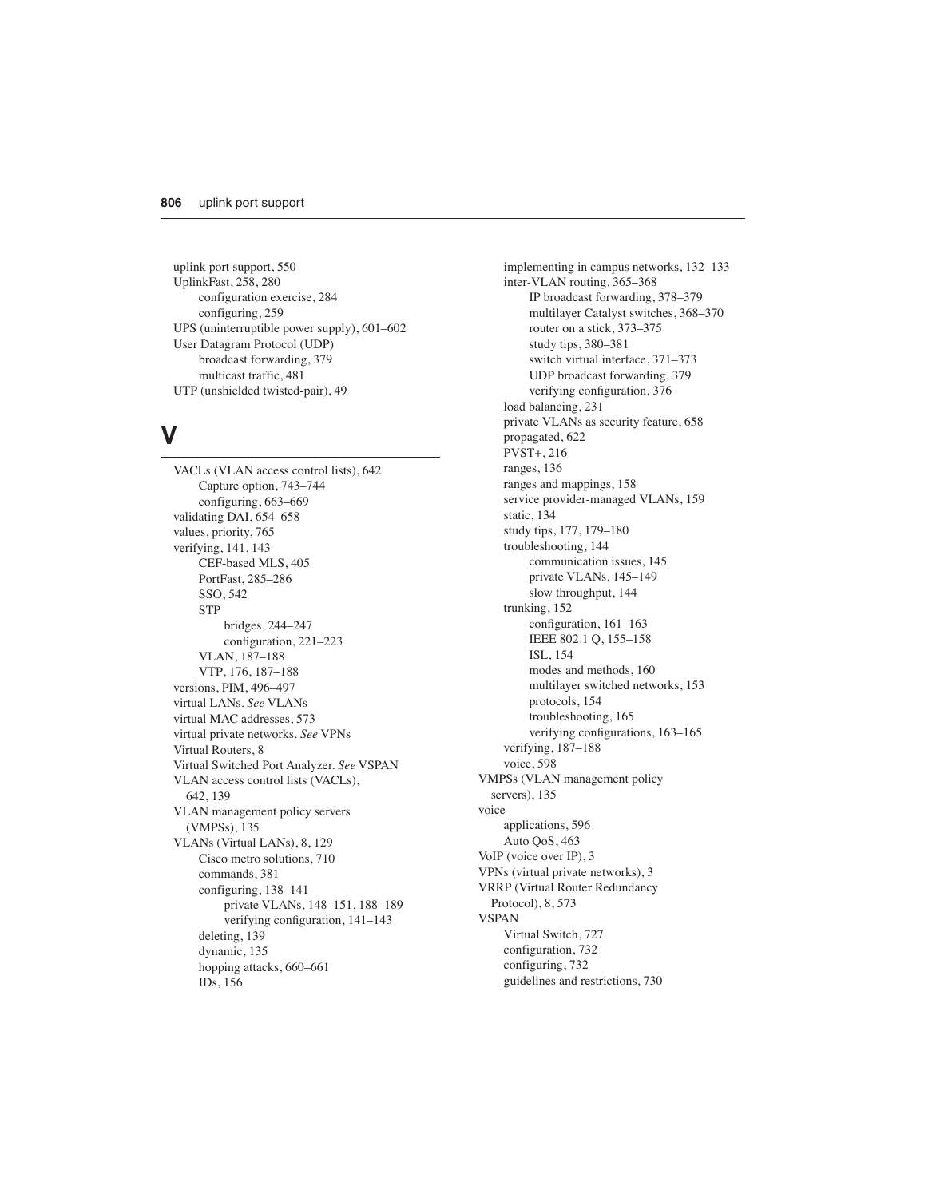uplink port support, 550 UplinkFast, 258, 280 configuration exercise, 284 configuring, 259 UPS (uninterruptible power supply), 601–602 User Datagram Protocol (UDP) broadcast forwarding, 379 multicast traffic, 481 UTP (unshielded twisted-pair), 49

#### **V**

VACLs (VLAN access control lists), 642 Capture option, 743–744 configuring, 663–669 validating DAI, 654–658 values, priority, 765 verifying, 141, 143 CEF-based MLS, 405 PortFast, 285–286 SSO, 542 **STP** bridges, 244–247 configuration, 221–223 VLAN, 187–188 VTP, 176, 187–188 versions, PIM, 496–497 virtual LANs. *See* VLANs virtual MAC addresses, 573 virtual private networks. *See* VPNs Virtual Routers, 8 Virtual Switched Port Analyzer. *See* VSPAN VLAN access control lists (VACLs), 642, 139 VLAN management policy servers (VMPSs), 135 VLANs (Virtual LANs), 8, 129 Cisco metro solutions, 710 commands, 381 configuring, 138–141 private VLANs, 148–151, 188–189 verifying configuration, 141–143 deleting, 139 dynamic, 135 hopping attacks, 660–661 IDs, 156

implementing in campus networks, 132–133 inter-VLAN routing, 365–368 IP broadcast forwarding, 378–379 multilayer Catalyst switches, 368–370 router on a stick, 373–375 study tips, 380–381 switch virtual interface, 371–373 UDP broadcast forwarding, 379 verifying configuration, 376 load balancing, 231 private VLANs as security feature, 658 propagated, 622 PVST+, 216 ranges, 136 ranges and mappings, 158 service provider-managed VLANs, 159 static, 134 study tips, 177, 179–180 troubleshooting, 144 communication issues, 145 private VLANs, 145–149 slow throughput, 144 trunking, 152 configuration, 161–163 IEEE 802.1 Q, 155–158 ISL, 154 modes and methods, 160 multilayer switched networks, 153 protocols, 154 troubleshooting, 165 verifying configurations, 163–165 verifying, 187–188 voice, 598 VMPSs (VLAN management policy servers), 135 voice applications, 596 Auto QoS, 463 VoIP (voice over IP), 3 VPNs (virtual private networks), 3 VRRP (Virtual Router Redundancy Protocol), 8, 573 VSPAN Virtual Switch, 727 configuration, 732 configuring, 732 guidelines and restrictions, 730